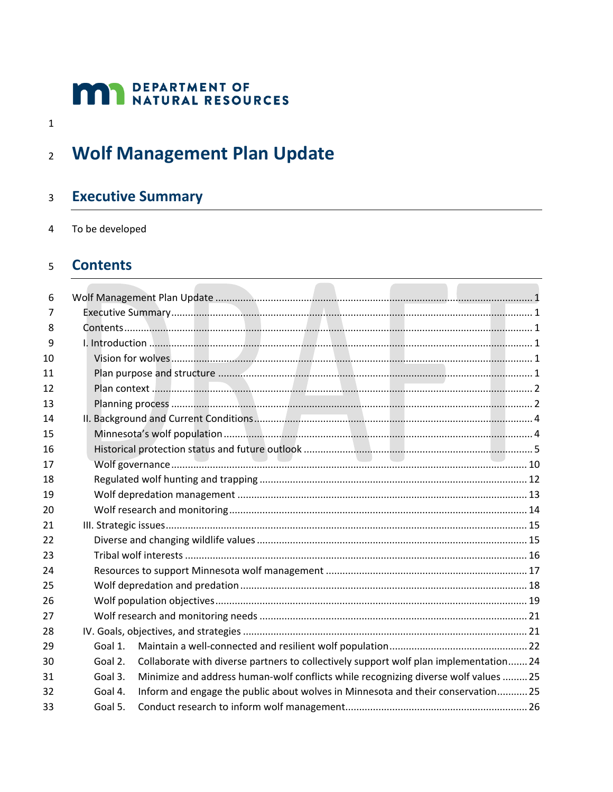# **MAN** DEPARTMENT OF NATURAL RESOURCES

 $\mathbf{1}$ 

#### <span id="page-0-0"></span>**Wolf Management Plan Update**  $\overline{2}$

#### <span id="page-0-1"></span>**Executive Summary**  $\overline{3}$

To be developed  $\overline{4}$ 

#### <span id="page-0-2"></span>**Contents**  $\overline{5}$

| 6              |         |                                                                                       |  |
|----------------|---------|---------------------------------------------------------------------------------------|--|
| $\overline{7}$ |         |                                                                                       |  |
| 8              |         |                                                                                       |  |
| 9              |         |                                                                                       |  |
| 10             |         |                                                                                       |  |
| 11             |         |                                                                                       |  |
| 12             |         |                                                                                       |  |
| 13             |         |                                                                                       |  |
| 14             |         |                                                                                       |  |
| 15             |         |                                                                                       |  |
| 16             |         |                                                                                       |  |
| 17             |         |                                                                                       |  |
| 18             |         |                                                                                       |  |
| 19             |         |                                                                                       |  |
| 20             |         |                                                                                       |  |
| 21             |         |                                                                                       |  |
| 22             |         |                                                                                       |  |
| 23             |         |                                                                                       |  |
| 24             |         |                                                                                       |  |
| 25             |         |                                                                                       |  |
| 26             |         |                                                                                       |  |
| 27             |         |                                                                                       |  |
| 28             |         |                                                                                       |  |
| 29             | Goal 1. |                                                                                       |  |
| 30             | Goal 2. | Collaborate with diverse partners to collectively support wolf plan implementation 24 |  |
| 31             | Goal 3. | Minimize and address human-wolf conflicts while recognizing diverse wolf values  25   |  |
| 32             | Goal 4. | Inform and engage the public about wolves in Minnesota and their conservation 25      |  |
| 33             | Goal 5. |                                                                                       |  |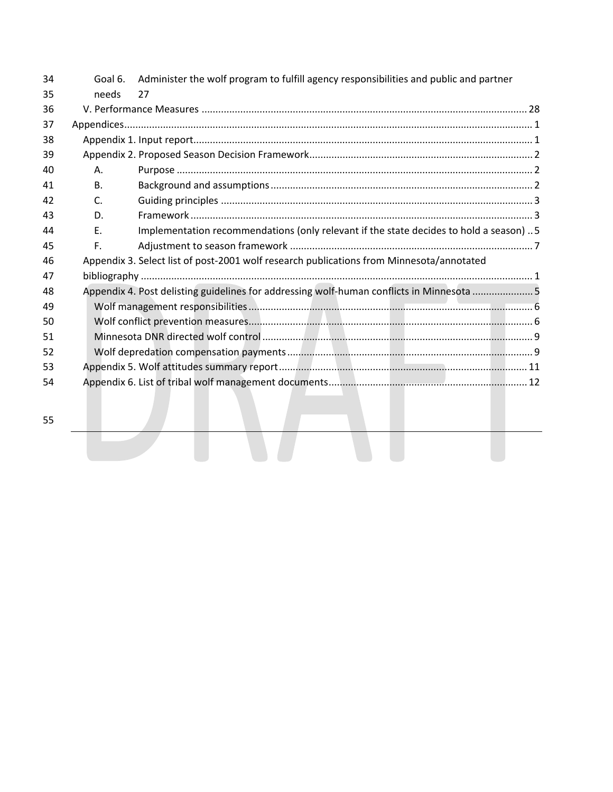| 34 | Goal 6.   | Administer the wolf program to fulfill agency responsibilities and public and partner    |
|----|-----------|------------------------------------------------------------------------------------------|
| 35 | needs     | 27                                                                                       |
| 36 |           |                                                                                          |
| 37 |           |                                                                                          |
| 38 |           |                                                                                          |
| 39 |           |                                                                                          |
| 40 | Α.        |                                                                                          |
| 41 | <b>B.</b> |                                                                                          |
| 42 | C.        |                                                                                          |
| 43 | D.        |                                                                                          |
| 44 | Ε.        | Implementation recommendations (only relevant if the state decides to hold a season) 5   |
| 45 | F.        |                                                                                          |
| 46 |           | Appendix 3. Select list of post-2001 wolf research publications from Minnesota/annotated |
| 47 |           |                                                                                          |
| 48 |           | Appendix 4. Post delisting guidelines for addressing wolf-human conflicts in Minnesota 5 |
| 49 |           |                                                                                          |
| 50 |           |                                                                                          |
| 51 |           |                                                                                          |
| 52 |           |                                                                                          |
| 53 |           |                                                                                          |
| 54 |           |                                                                                          |
|    |           |                                                                                          |
| 55 |           |                                                                                          |
|    |           |                                                                                          |
|    |           |                                                                                          |
|    |           |                                                                                          |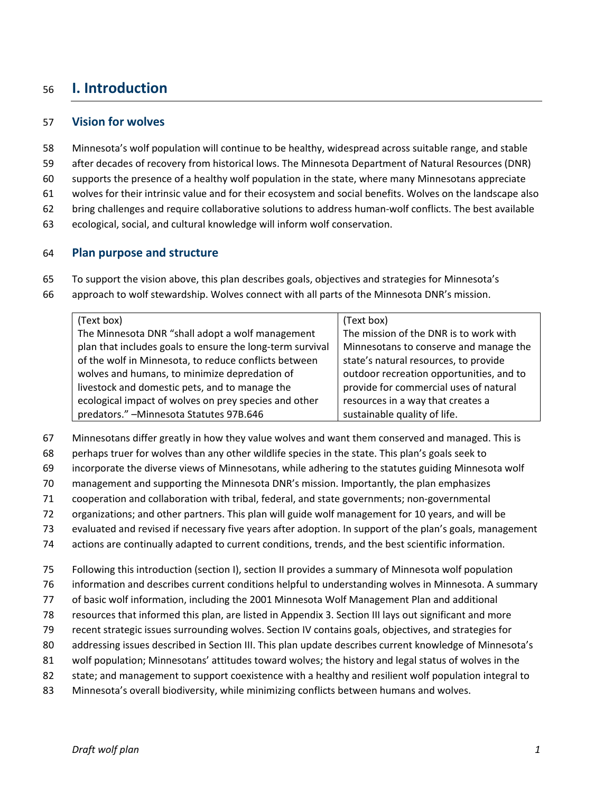# <span id="page-2-0"></span>**I. Introduction**

#### <span id="page-2-1"></span>**Vision for wolves**

- Minnesota's wolf population will continue to be healthy, widespread across suitable range, and stable
- after decades of recovery from historical lows. The Minnesota Department of Natural Resources (DNR)
- supports the presence of a healthy wolf population in the state, where many Minnesotans appreciate
- wolves for their intrinsic value and for their ecosystem and social benefits. Wolves on the landscape also
- bring challenges and require collaborative solutions to address human-wolf conflicts. The best available
- ecological, social, and cultural knowledge will inform wolf conservation.

#### <span id="page-2-2"></span>**Plan purpose and structure**

- To support the vision above, this plan describes goals, objectives and strategies for Minnesota's
- approach to wolf stewardship. Wolves connect with all parts of the Minnesota DNR's mission.

| (Text box)                                                | (Text box)                               |
|-----------------------------------------------------------|------------------------------------------|
| The Minnesota DNR "shall adopt a wolf management          | The mission of the DNR is to work with   |
| plan that includes goals to ensure the long-term survival | Minnesotans to conserve and manage the   |
| of the wolf in Minnesota, to reduce conflicts between     | state's natural resources, to provide    |
| wolves and humans, to minimize depredation of             | outdoor recreation opportunities, and to |
| livestock and domestic pets, and to manage the            | provide for commercial uses of natural   |
| ecological impact of wolves on prey species and other     | resources in a way that creates a        |
| predators." - Minnesota Statutes 97B.646                  | sustainable quality of life.             |

- Minnesotans differ greatly in how they value wolves and want them conserved and managed. This is
- perhaps truer for wolves than any other wildlife species in the state. This plan's goals seek to
- incorporate the diverse views of Minnesotans, while adhering to the statutes guiding Minnesota wolf
- management and supporting the Minnesota DNR's mission. Importantly, the plan emphasizes
- cooperation and collaboration with tribal, federal, and state governments; non-governmental
- organizations; and other partners. This plan will guide wolf management for 10 years, and will be
- evaluated and revised if necessary five years after adoption. In support of the plan's goals, management
- actions are continually adapted to current conditions, trends, and the best scientific information.
- Following this introduction (section I), section II provides a summary of Minnesota wolf population
- information and describes current conditions helpful to understanding wolves in Minnesota. A summary
- of basic wolf information, including the 2001 Minnesota Wolf Management Plan and additional
- resources that informed this plan, are listed in Appendix 3. Section III lays out significant and more
- recent strategic issues surrounding wolves. Section IV contains goals, objectives, and strategies for
- addressing issues described in Section III. This plan update describes current knowledge of Minnesota's
- wolf population; Minnesotans' attitudes toward wolves; the history and legal status of wolves in the
- state; and management to support coexistence with a healthy and resilient wolf population integral to
- Minnesota's overall biodiversity, while minimizing conflicts between humans and wolves.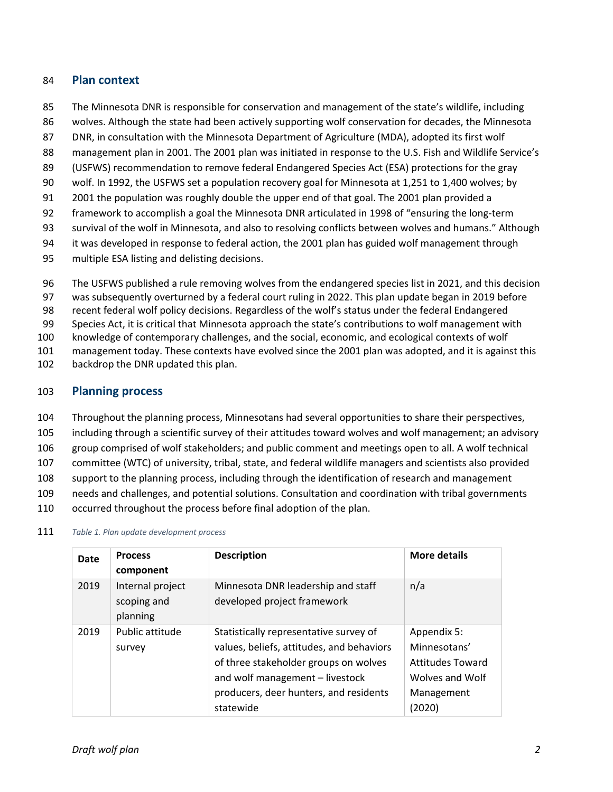#### <span id="page-3-0"></span>84 **Plan context**

- 85 The Minnesota DNR is responsible for conservation and management of the state's wildlife, including
- 86 wolves. Although the state had been actively supporting wolf conservation for decades, the Minnesota
- 87 DNR, in consultation with the Minnesota Department of Agriculture (MDA), adopted its first wolf
- 88 management plan in 2001. The 2001 plan was initiated in response to the U.S. Fish and Wildlife Service's
- 89 (USFWS) recommendation to remove federal Endangered Species Act (ESA) protections for the gray
- 90 wolf. In 1992, the USFWS set a population recovery goal for Minnesota at 1,251 to 1,400 wolves; by
- 91 2001 the population was roughly double the upper end of that goal. The 2001 plan provided a
- 92 framework to accomplish a goal the Minnesota DNR articulated in 1998 of "ensuring the long-term
- 93 survival of the wolf in Minnesota, and also to resolving conflicts between wolves and humans." Although
- 94 it was developed in response to federal action, the 2001 plan has guided wolf management through
- 95 multiple ESA listing and delisting decisions.
- 96 The USFWS published a rule removing wolves from the endangered species list in 2021, and this decision
- 97 was subsequently overturned by a federal court ruling in 2022. This plan update began in 2019 before
- 98 recent federal wolf policy decisions. Regardless of the wolf's status under the federal Endangered
- 99 Species Act, it is critical that Minnesota approach the state's contributions to wolf management with
- 100 knowledge of contemporary challenges, and the social, economic, and ecological contexts of wolf
- 101 management today. These contexts have evolved since the 2001 plan was adopted, and it is against this
- 102 backdrop the DNR updated this plan.

#### <span id="page-3-1"></span>103 **Planning process**

- 104 Throughout the planning process, Minnesotans had several opportunities to share their perspectives,
- 105 including through a scientific survey of their attitudes toward wolves and wolf management; an advisory
- 106 group comprised of wolf stakeholders; and public comment and meetings open to all. A wolf technical
- 107 committee (WTC) of university, tribal, state, and federal wildlife managers and scientists also provided
- 108 support to the planning process, including through the identification of research and management
- 109 needs and challenges, and potential solutions. Consultation and coordination with tribal governments
- 110 occurred throughout the process before final adoption of the plan.

| Date | <b>Process</b><br>component                 | <b>Description</b>                                                                                                                                                                                                     | <b>More details</b>                                                                               |
|------|---------------------------------------------|------------------------------------------------------------------------------------------------------------------------------------------------------------------------------------------------------------------------|---------------------------------------------------------------------------------------------------|
| 2019 | Internal project<br>scoping and<br>planning | Minnesota DNR leadership and staff<br>developed project framework                                                                                                                                                      | n/a                                                                                               |
| 2019 | Public attitude<br>survey                   | Statistically representative survey of<br>values, beliefs, attitudes, and behaviors<br>of three stakeholder groups on wolves<br>and wolf management - livestock<br>producers, deer hunters, and residents<br>statewide | Appendix 5:<br>Minnesotans'<br><b>Attitudes Toward</b><br>Wolves and Wolf<br>Management<br>(2020) |

#### 111 *Table 1. Plan update development process*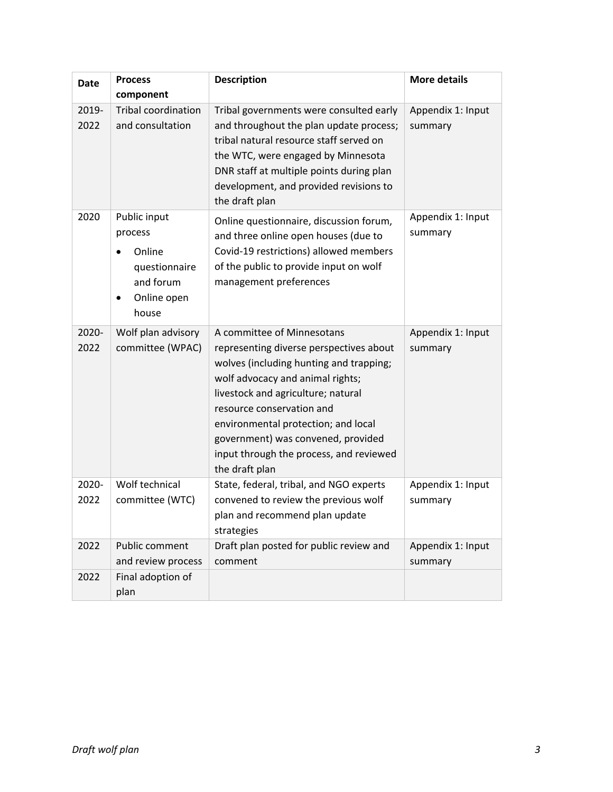| <b>Date</b>   | <b>Process</b>                                                                                       | <b>Description</b>                                                                                                                                                                                                                                                                                                                                                | <b>More details</b>          |
|---------------|------------------------------------------------------------------------------------------------------|-------------------------------------------------------------------------------------------------------------------------------------------------------------------------------------------------------------------------------------------------------------------------------------------------------------------------------------------------------------------|------------------------------|
|               | component                                                                                            |                                                                                                                                                                                                                                                                                                                                                                   |                              |
| 2019-<br>2022 | <b>Tribal coordination</b><br>and consultation                                                       | Tribal governments were consulted early<br>and throughout the plan update process;<br>tribal natural resource staff served on<br>the WTC, were engaged by Minnesota<br>DNR staff at multiple points during plan<br>development, and provided revisions to<br>the draft plan                                                                                       | Appendix 1: Input<br>summary |
| 2020          | Public input<br>process<br>Online<br>questionnaire<br>and forum<br>Online open<br>$\bullet$<br>house | Online questionnaire, discussion forum,<br>and three online open houses (due to<br>Covid-19 restrictions) allowed members<br>of the public to provide input on wolf<br>management preferences                                                                                                                                                                     | Appendix 1: Input<br>summary |
| 2020-<br>2022 | Wolf plan advisory<br>committee (WPAC)                                                               | A committee of Minnesotans<br>representing diverse perspectives about<br>wolves (including hunting and trapping;<br>wolf advocacy and animal rights;<br>livestock and agriculture; natural<br>resource conservation and<br>environmental protection; and local<br>government) was convened, provided<br>input through the process, and reviewed<br>the draft plan | Appendix 1: Input<br>summary |
| 2020-<br>2022 | Wolf technical<br>committee (WTC)                                                                    | State, federal, tribal, and NGO experts<br>convened to review the previous wolf<br>plan and recommend plan update<br>strategies                                                                                                                                                                                                                                   | Appendix 1: Input<br>summary |
| 2022          | Public comment<br>and review process                                                                 | Draft plan posted for public review and<br>comment                                                                                                                                                                                                                                                                                                                | Appendix 1: Input<br>summary |
| 2022          | Final adoption of<br>plan                                                                            |                                                                                                                                                                                                                                                                                                                                                                   |                              |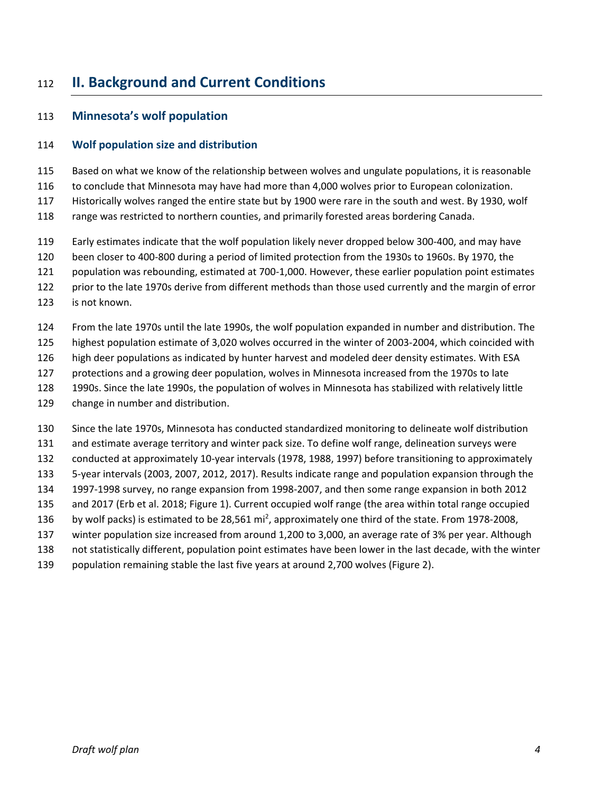# <span id="page-5-0"></span>**II. Background and Current Conditions**

#### <span id="page-5-1"></span>**Minnesota's wolf population**

#### **Wolf population size and distribution**

Based on what we know of the relationship between wolves and ungulate populations, it is reasonable

to conclude that Minnesota may have had more than 4,000 wolves prior to European colonization.

Historically wolves ranged the entire state but by 1900 were rare in the south and west. By 1930, wolf

range was restricted to northern counties, and primarily forested areas bordering Canada.

- Early estimates indicate that the wolf population likely never dropped below 300-400, and may have
- been closer to 400-800 during a period of limited protection from the 1930s to 1960s. By 1970, the

population was rebounding, estimated at 700-1,000. However, these earlier population point estimates

prior to the late 1970s derive from different methods than those used currently and the margin of error

is not known.

From the late 1970s until the late 1990s, the wolf population expanded in number and distribution. The

- highest population estimate of 3,020 wolves occurred in the winter of 2003-2004, which coincided with
- high deer populations as indicated by hunter harvest and modeled deer density estimates. With ESA
- protections and a growing deer population, wolves in Minnesota increased from the 1970s to late
- 1990s. Since the late 1990s, the population of wolves in Minnesota has stabilized with relatively little
- change in number and distribution.
- Since the late 1970s, Minnesota has conducted standardized monitoring to delineate wolf distribution
- and estimate average territory and winter pack size. To define wolf range, delineation surveys were

conducted at approximately 10-year intervals (1978, 1988, 1997) before transitioning to approximately

- 5-year intervals (2003, 2007, 2012, 2017). Results indicate range and population expansion through the
- 1997-1998 survey, no range expansion from 1998-2007, and then some range expansion in both 2012
- and 2017 (Erb et al. 2018; [Figure 1\)](#page-6-1). Current occupied wolf range (the area within total range occupied
- 136 by wolf packs) is estimated to be 28,561  $\text{mi}^2$ , approximately one third of the state. From 1978-2008,
- winter population size increased from around 1,200 to 3,000, an average rate of 3% per year. Although
- not statistically different, population point estimates have been lower in the last decade, with the winter
- population remaining stable the last five years at around 2,700 wolves [\(Figure 2\)](#page-6-2).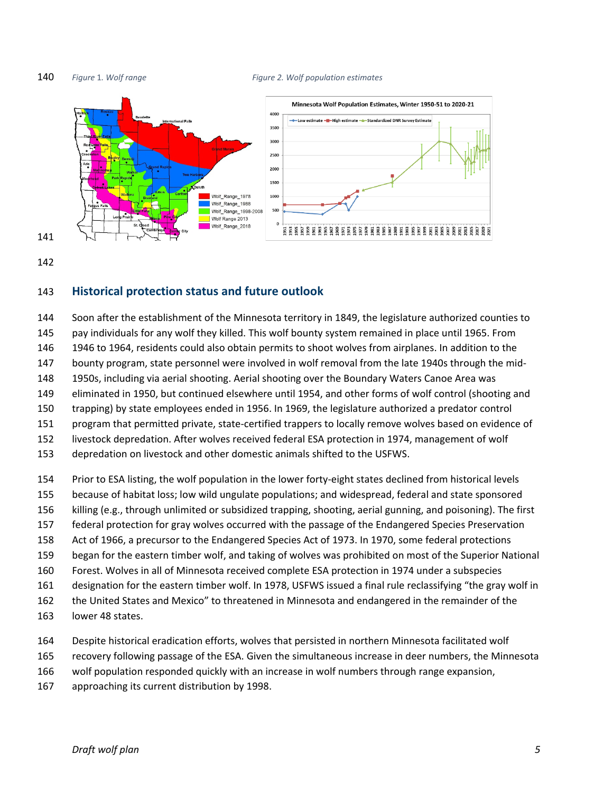<span id="page-6-2"></span><span id="page-6-1"></span>

#### <span id="page-6-0"></span>**Historical protection status and future outlook**

 Soon after the establishment of the Minnesota territory in 1849, the legislature authorized counties to pay individuals for any wolf they killed. This wolf bounty system remained in place until 1965. From 1946 to 1964, residents could also obtain permits to shoot wolves from airplanes. In addition to the bounty program, state personnel were involved in wolf removal from the late 1940s through the mid- 1950s, including via aerial shooting. Aerial shooting over the Boundary Waters Canoe Area was eliminated in 1950, but continued elsewhere until 1954, and other forms of wolf control (shooting and trapping) by state employees ended in 1956. In 1969, the legislature authorized a predator control program that permitted private, state-certified trappers to locally remove wolves based on evidence of livestock depredation. After wolves received federal ESA protection in 1974, management of wolf depredation on livestock and other domestic animals shifted to the USFWS. Prior to ESA listing, the wolf population in the lower forty-eight states declined from historical levels

- because of habitat loss; low wild ungulate populations; and widespread, federal and state sponsored
- 
- killing (e.g., through unlimited or subsidized trapping, shooting, aerial gunning, and poisoning). The first federal protection for gray wolves occurred with the passage of the Endangered Species Preservation
- Act of 1966, a precursor to the Endangered Species Act of 1973. In 1970, some federal protections
- began for the eastern timber wolf, and taking of wolves was prohibited on most of the Superior National
- Forest. Wolves in all of Minnesota received complete ESA protection in 1974 under a subspecies
- designation for the eastern timber wolf. In 1978, USFWS issued a final rule reclassifying "the gray wolf in
- the United States and Mexico" to threatened in Minnesota and endangered in the remainder of the
- lower 48 states.
- Despite historical eradication efforts, wolves that persisted in northern Minnesota facilitated wolf
- recovery following passage of the ESA. Given the simultaneous increase in deer numbers, the Minnesota
- wolf population responded quickly with an increase in wolf numbers through range expansion,
- approaching its current distribution by 1998.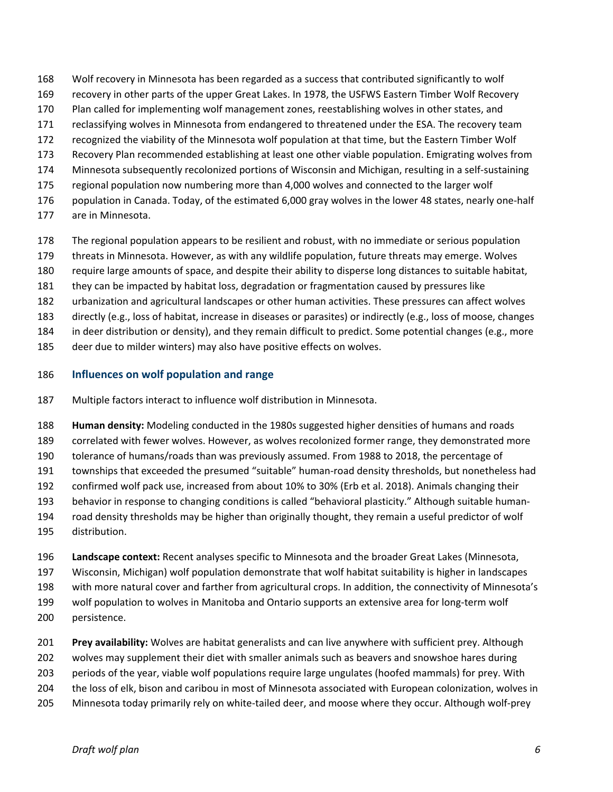- Wolf recovery in Minnesota has been regarded as a success that contributed significantly to wolf
- recovery in other parts of the upper Great Lakes. In 1978, the USFWS Eastern Timber Wolf Recovery
- Plan called for implementing wolf management zones, reestablishing wolves in other states, and
- 171 reclassifying wolves in Minnesota from endangered to threatened under the ESA. The recovery team
- recognized the viability of the Minnesota wolf population at that time, but the Eastern Timber Wolf
- Recovery Plan recommended establishing at least one other viable population. Emigrating wolves from
- Minnesota subsequently recolonized portions of Wisconsin and Michigan, resulting in a self-sustaining
- regional population now numbering more than 4,000 wolves and connected to the larger wolf
- population in Canada. Today, of the estimated 6,000 gray wolves in the lower 48 states, nearly one-half
- are in Minnesota.
- The regional population appears to be resilient and robust, with no immediate or serious population
- threats in Minnesota. However, as with any wildlife population, future threats may emerge. Wolves
- require large amounts of space, and despite their ability to disperse long distances to suitable habitat,
- they can be impacted by habitat loss, degradation or fragmentation caused by pressures like
- urbanization and agricultural landscapes or other human activities. These pressures can affect wolves
- directly (e.g., loss of habitat, increase in diseases or parasites) or indirectly (e.g., loss of moose, changes
- in deer distribution or density), and they remain difficult to predict. Some potential changes (e.g., more
- deer due to milder winters) may also have positive effects on wolves.

#### **Influences on wolf population and range**

- Multiple factors interact to influence wolf distribution in Minnesota.
- **Human density:** Modeling conducted in the 1980s suggested higher densities of humans and roads
- correlated with fewer wolves. However, as wolves recolonized former range, they demonstrated more
- tolerance of humans/roads than was previously assumed. From 1988 to 2018, the percentage of
- townships that exceeded the presumed "suitable" human-road density thresholds, but nonetheless had
- confirmed wolf pack use, increased from about 10% to 30% (Erb et al. 2018). Animals changing their
- behavior in response to changing conditions is called "behavioral plasticity." Although suitable human-
- road density thresholds may be higher than originally thought, they remain a useful predictor of wolf distribution.
- **Landscape context:** Recent analyses specific to Minnesota and the broader Great Lakes (Minnesota,
- Wisconsin, Michigan) wolf population demonstrate that wolf habitat suitability is higher in landscapes
- with more natural cover and farther from agricultural crops. In addition, the connectivity of Minnesota's
- wolf population to wolves in Manitoba and Ontario supports an extensive area for long-term wolf
- persistence.
- **Prey availability:** Wolves are habitat generalists and can live anywhere with sufficient prey. Although
- wolves may supplement their diet with smaller animals such as beavers and snowshoe hares during
- periods of the year, viable wolf populations require large ungulates (hoofed mammals) for prey. With
- the loss of elk, bison and caribou in most of Minnesota associated with European colonization, wolves in
- Minnesota today primarily rely on white-tailed deer, and moose where they occur. Although wolf-prey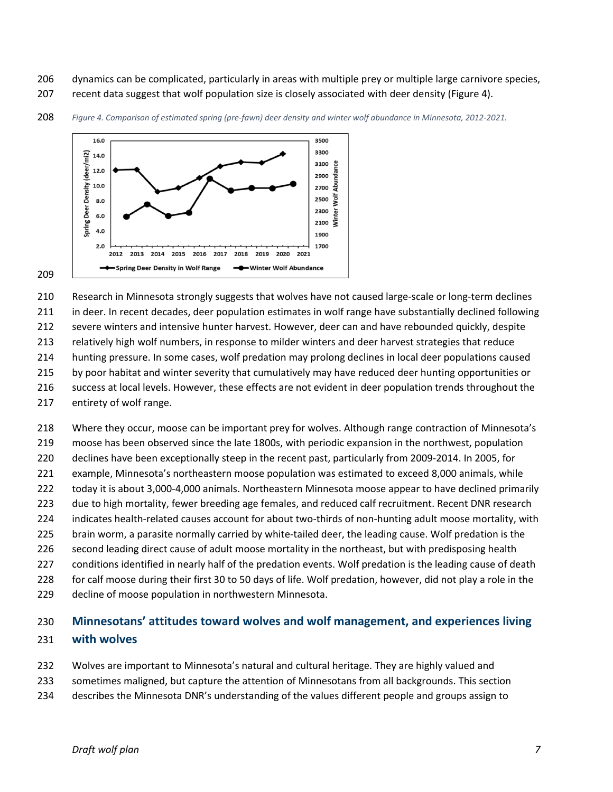- dynamics can be complicated, particularly in areas with multiple prey or multiple large carnivore species,
- recent data suggest that wolf population size is closely associated with deer density [\(Figure 4\)](#page-8-0).

<span id="page-8-0"></span>

#### *Figure 4. Comparison of estimated spring (pre-fawn) deer density and winter wolf abundance in Minnesota, 2012-2021.*

#### 

Research in Minnesota strongly suggests that wolves have not caused large-scale or long-term declines

in deer. In recent decades, deer population estimates in wolf range have substantially declined following

severe winters and intensive hunter harvest. However, deer can and have rebounded quickly, despite

relatively high wolf numbers, in response to milder winters and deer harvest strategies that reduce

hunting pressure. In some cases, wolf predation may prolong declines in local deer populations caused

215 by poor habitat and winter severity that cumulatively may have reduced deer hunting opportunities or

 success at local levels. However, these effects are not evident in deer population trends throughout the entirety of wolf range.

Where they occur, moose can be important prey for wolves. Although range contraction of Minnesota's

moose has been observed since the late 1800s, with periodic expansion in the northwest, population

declines have been exceptionally steep in the recent past, particularly from 2009-2014. In 2005, for

example, Minnesota's northeastern moose population was estimated to exceed 8,000 animals, while

 today it is about 3,000-4,000 animals. Northeastern Minnesota moose appear to have declined primarily 223 due to high mortality, fewer breeding age females, and reduced calf recruitment. Recent DNR research

indicates health-related causes account for about two-thirds of non-hunting adult moose mortality, with

brain worm, a parasite normally carried by white-tailed deer, the leading cause. Wolf predation is the

second leading direct cause of adult moose mortality in the northeast, but with predisposing health

conditions identified in nearly half of the predation events. Wolf predation is the leading cause of death

for calf moose during their first 30 to 50 days of life. Wolf predation, however, did not play a role in the

decline of moose population in northwestern Minnesota.

# **Minnesotans' attitudes toward wolves and wolf management, and experiences living with wolves**

- Wolves are important to Minnesota's natural and cultural heritage. They are highly valued and
- sometimes maligned, but capture the attention of Minnesotans from all backgrounds. This section
- describes the Minnesota DNR's understanding of the values different people and groups assign to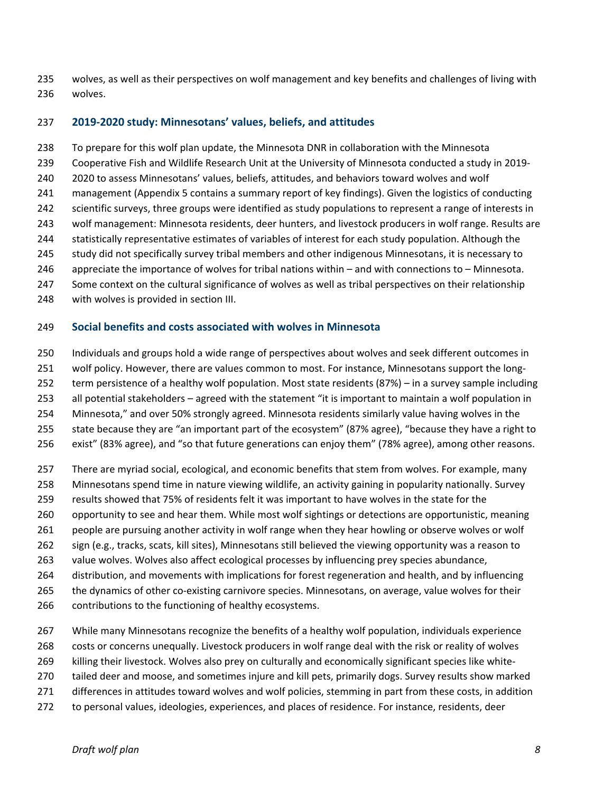wolves, as well as their perspectives on wolf management and key benefits and challenges of living with wolves.

#### **2019-2020 study: Minnesotans' values, beliefs, and attitudes**

 To prepare for this wolf plan update, the Minnesota DNR in collaboration with the Minnesota Cooperative Fish and Wildlife Research Unit at the University of Minnesota conducted a study in 2019- 2020 to assess Minnesotans' values, beliefs, attitudes, and behaviors toward wolves and wolf management [\(Appendix 5 c](#page-48-0)ontains a summary report of key findings). Given the logistics of conducting scientific surveys, three groups were identified as study populations to represent a range of interests in wolf management: Minnesota residents, deer hunters, and livestock producers in wolf range. Results are statistically representative estimates of variables of interest for each study population. Although the study did not specifically survey tribal members and other indigenous Minnesotans, it is necessary to appreciate the importance of wolves for tribal nations within – and with connections to – Minnesota. Some context on the cultural significance of wolves as well as tribal perspectives on their relationship with wolves is provided in section III.

#### **Social benefits and costs associated with wolves in Minnesota**

 Individuals and groups hold a wide range of perspectives about wolves and seek different outcomes in wolf policy. However, there are values common to most. For instance, Minnesotans support the long- term persistence of a healthy wolf population. Most state residents (87%) – in a survey sample including all potential stakeholders – agreed with the statement "it is important to maintain a wolf population in Minnesota," and over 50% strongly agreed. Minnesota residents similarly value having wolves in the state because they are "an important part of the ecosystem" (87% agree), "because they have a right to exist" (83% agree), and "so that future generations can enjoy them" (78% agree), among other reasons.

 There are myriad social, ecological, and economic benefits that stem from wolves. For example, many Minnesotans spend time in nature viewing wildlife, an activity gaining in popularity nationally. Survey results showed that 75% of residents felt it was important to have wolves in the state for the opportunity to see and hear them. While most wolf sightings or detections are opportunistic, meaning people are pursuing another activity in wolf range when they hear howling or observe wolves or wolf sign (e.g., tracks, scats, kill sites), Minnesotans still believed the viewing opportunity was a reason to value wolves. Wolves also affect ecological processes by influencing prey species abundance, distribution, and movements with implications for forest regeneration and health, and by influencing the dynamics of other co-existing carnivore species. Minnesotans, on average, value wolves for their 266 contributions to the functioning of healthy ecosystems.

 While many Minnesotans recognize the benefits of a healthy wolf population, individuals experience costs or concerns unequally. Livestock producers in wolf range deal with the risk or reality of wolves

- killing their livestock. Wolves also prey on culturally and economically significant species like white-
- tailed deer and moose, and sometimes injure and kill pets, primarily dogs. Survey results show marked
- differences in attitudes toward wolves and wolf policies, stemming in part from these costs, in addition
- to personal values, ideologies, experiences, and places of residence. For instance, residents, deer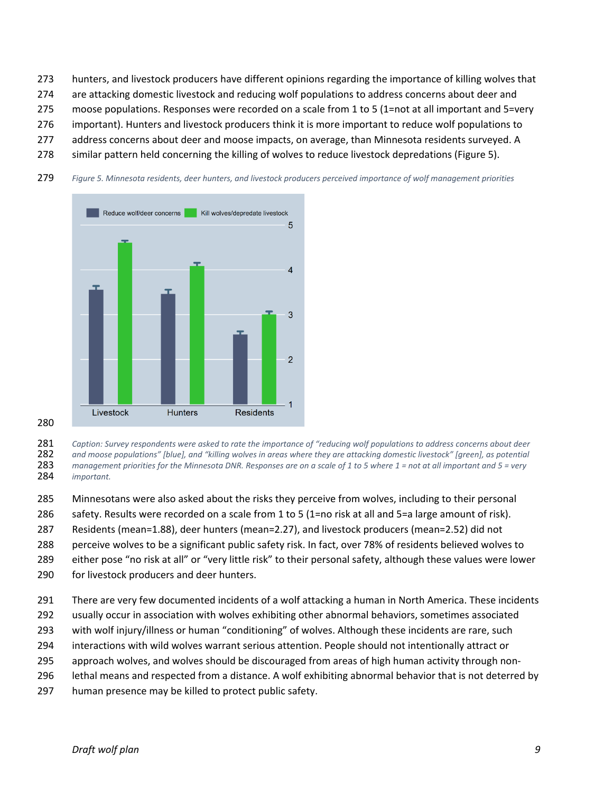- hunters, and livestock producers have different opinions regarding the importance of killing wolves that
- are attacking domestic livestock and reducing wolf populations to address concerns about deer and
- moose populations. Responses were recorded on a scale from 1 to 5 (1=not at all important and 5=very
- important). Hunters and livestock producers think it is more important to reduce wolf populations to
- address concerns about deer and moose impacts, on average, than Minnesota residents surveyed. A
- similar pattern held concerning the killing of wolves to reduce livestock depredations (Figure 5).
- *Figure 5. Minnesota residents, deer hunters, and livestock producers perceived importance of wolf management priorities*



 *Caption: Survey respondents were asked to rate the importance of "reducing wolf populations to address concerns about deer and moose populations" [blue], and "killing wolves in areas where they are attacking domestic livestock" [green], as potential management priorities for the Minnesota DNR. Responses are on a scale of 1 to 5 where 1 = not at all important and 5 = very important.*

- Minnesotans were also asked about the risks they perceive from wolves, including to their personal
- safety. Results were recorded on a scale from 1 to 5 (1=no risk at all and 5=a large amount of risk).
- Residents (mean=1.88), deer hunters (mean=2.27), and livestock producers (mean=2.52) did not
- perceive wolves to be a significant public safety risk. In fact, over 78% of residents believed wolves to
- either pose "no risk at all" or "very little risk" to their personal safety, although these values were lower
- for livestock producers and deer hunters.
- There are very few documented incidents of a wolf attacking a human in North America. These incidents
- usually occur in association with wolves exhibiting other abnormal behaviors, sometimes associated
- with wolf injury/illness or human "conditioning" of wolves. Although these incidents are rare, such
- interactions with wild wolves warrant serious attention. People should not intentionally attract or
- approach wolves, and wolves should be discouraged from areas of high human activity through non-
- lethal means and respected from a distance. A wolf exhibiting abnormal behavior that is not deterred by
- human presence may be killed to protect public safety.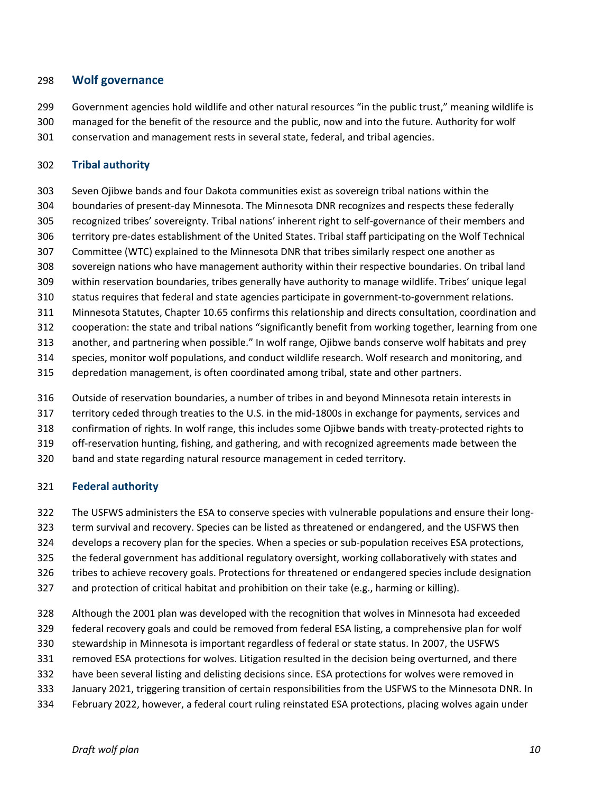#### <span id="page-11-0"></span>**Wolf governance**

- Government agencies hold wildlife and other natural resources "in the public trust," meaning wildlife is
- managed for the benefit of the resource and the public, now and into the future. Authority for wolf
- conservation and management rests in several state, federal, and tribal agencies.

#### **Tribal authority**

- Seven Ojibwe bands and four Dakota communities exist as sovereign tribal nations within the
- boundaries of present-day Minnesota. The Minnesota DNR recognizes and respects these federally
- recognized tribes' sovereignty. Tribal nations' inherent right to self-governance of their members and
- territory pre-dates establishment of the United States. Tribal staff participating on the Wolf Technical
- Committee (WTC) explained to the Minnesota DNR that tribes similarly respect one another as
- sovereign nations who have management authority within their respective boundaries. On tribal land
- within reservation boundaries, tribes generally have authority to manage wildlife. Tribes' unique legal status requires that federal and state agencies participate in government-to-government relations.
- Minnesota Statutes, Chapter 10.65 confirms this relationship and directs consultation, coordination and
- cooperation: the state and tribal nations "significantly benefit from working together, learning from one
- another, and partnering when possible." In wolf range, Ojibwe bands conserve wolf habitats and prey
- species, monitor wolf populations, and conduct wildlife research. Wolf research and monitoring, and
- depredation management, is often coordinated among tribal, state and other partners.
- Outside of reservation boundaries, a number of tribes in and beyond Minnesota retain interests in
- territory ceded through treaties to the U.S. in the mid-1800s in exchange for payments, services and
- confirmation of rights. In wolf range, this includes some Ojibwe bands with treaty-protected rights to
- off-reservation hunting, fishing, and gathering, and with recognized agreements made between the
- band and state regarding natural resource management in ceded territory.

#### **Federal authority**

- The USFWS administers the ESA to conserve species with vulnerable populations and ensure their long-
- term survival and recovery. Species can be listed as threatened or endangered, and the USFWS then
- develops a recovery plan for the species. When a species or sub-population receives ESA protections,
- the federal government has additional regulatory oversight, working collaboratively with states and
- tribes to achieve recovery goals. Protections for threatened or endangered species include designation
- and protection of critical habitat and prohibition on their take (e.g., harming or killing).
- Although the 2001 plan was developed with the recognition that wolves in Minnesota had exceeded
- federal recovery goals and could be removed from federal ESA listing, a comprehensive plan for wolf
- stewardship in Minnesota is important regardless of federal or state status. In 2007, the USFWS
- removed ESA protections for wolves. Litigation resulted in the decision being overturned, and there
- have been several listing and delisting decisions since. ESA protections for wolves were removed in
- January 2021, triggering transition of certain responsibilities from the USFWS to the Minnesota DNR. In
- February 2022, however, a federal court ruling reinstated ESA protections, placing wolves again under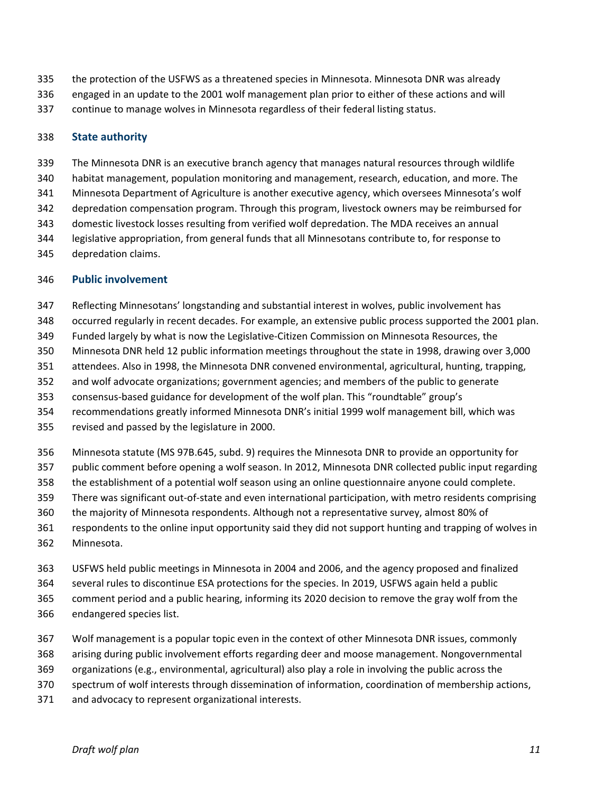- the protection of the USFWS as a threatened species in Minnesota. Minnesota DNR was already
- engaged in an update to the 2001 wolf management plan prior to either of these actions and will
- continue to manage wolves in Minnesota regardless of their federal listing status.

#### **State authority**

- The Minnesota DNR is an executive branch agency that manages natural resources through wildlife
- habitat management, population monitoring and management, research, education, and more. The
- Minnesota Department of Agriculture is another executive agency, which oversees Minnesota's wolf
- depredation compensation program. Through this program, livestock owners may be reimbursed for
- domestic livestock losses resulting from verified wolf depredation. The MDA receives an annual
- legislative appropriation, from general funds that all Minnesotans contribute to, for response to
- depredation claims.

#### **Public involvement**

- Reflecting Minnesotans' longstanding and substantial interest in wolves, public involvement has
- occurred regularly in recent decades. For example, an extensive public process supported the 2001 plan.
- Funded largely by what is now the Legislative-Citizen Commission on Minnesota Resources, the
- Minnesota DNR held 12 public information meetings throughout the state in 1998, drawing over 3,000
- attendees. Also in 1998, the Minnesota DNR convened environmental, agricultural, hunting, trapping,
- and wolf advocate organizations; government agencies; and members of the public to generate
- consensus-based guidance for development of the wolf plan. This "roundtable" group's
- recommendations greatly informed Minnesota DNR's initial 1999 wolf management bill, which was
- revised and passed by the legislature in 2000.
- Minnesota statute (MS 97B.645, subd. 9) requires the Minnesota DNR to provide an opportunity for
- public comment before opening a wolf season. In 2012, Minnesota DNR collected public input regarding
- the establishment of a potential wolf season using an online questionnaire anyone could complete.
- There was significant out-of-state and even international participation, with metro residents comprising
- the majority of Minnesota respondents. Although not a representative survey, almost 80% of
- respondents to the online input opportunity said they did not support hunting and trapping of wolves in Minnesota.
- USFWS held public meetings in Minnesota in 2004 and 2006, and the agency proposed and finalized
- several rules to discontinue ESA protections for the species. In 2019, USFWS again held a public
- comment period and a public hearing, informing its 2020 decision to remove the gray wolf from the
- endangered species list.
- Wolf management is a popular topic even in the context of other Minnesota DNR issues, commonly
- arising during public involvement efforts regarding deer and moose management. Nongovernmental
- organizations (e.g., environmental, agricultural) also play a role in involving the public across the
- spectrum of wolf interests through dissemination of information, coordination of membership actions,
- and advocacy to represent organizational interests.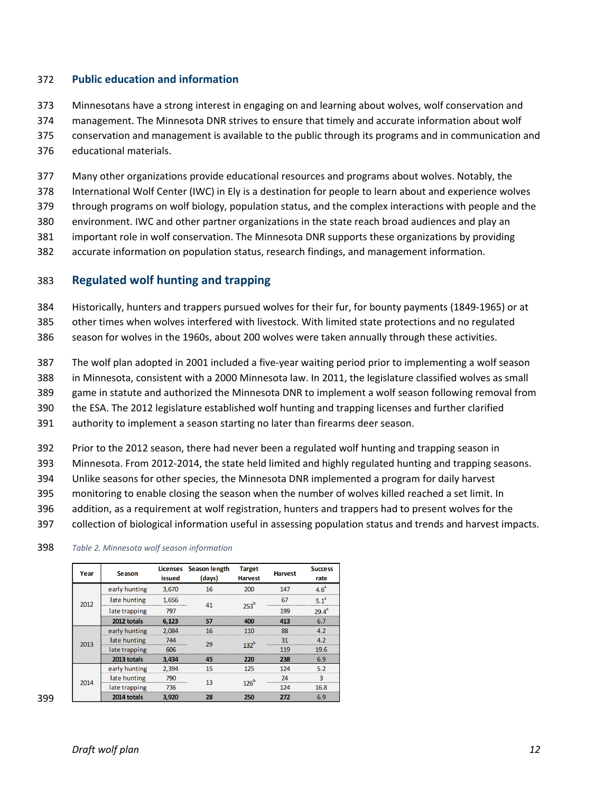#### **Public education and information**

- Minnesotans have a strong interest in engaging on and learning about wolves, wolf conservation and
- management. The Minnesota DNR strives to ensure that timely and accurate information about wolf
- conservation and management is available to the public through its programs and in communication and
- educational materials.
- Many other organizations provide educational resources and programs about wolves. Notably, the
- International Wolf Center (IWC) in Ely is a destination for people to learn about and experience wolves
- through programs on wolf biology, population status, and the complex interactions with people and the
- environment. IWC and other partner organizations in the state reach broad audiences and play an
- important role in wolf conservation. The Minnesota DNR supports these organizations by providing
- accurate information on population status, research findings, and management information.

#### <span id="page-13-0"></span>**Regulated wolf hunting and trapping**

- Historically, hunters and trappers pursued wolves for their fur, for bounty payments (1849-1965) or at
- other times when wolves interfered with livestock. With limited state protections and no regulated
- season for wolves in the 1960s, about 200 wolves were taken annually through these activities.
- The wolf plan adopted in 2001 included a five-year waiting period prior to implementing a wolf season
- in Minnesota, consistent with a 2000 Minnesota law. In 2011, the legislature classified wolves as small
- game in statute and authorized the Minnesota DNR to implement a wolf season following removal from
- the ESA. The 2012 legislature established wolf hunting and trapping licenses and further clarified
- authority to implement a season starting no later than firearms deer season.
- Prior to the 2012 season, there had never been a regulated wolf hunting and trapping season in
- Minnesota. From 2012-2014, the state held limited and highly regulated hunting and trapping seasons.
- Unlike seasons for other species, the Minnesota DNR implemented a program for daily harvest
- monitoring to enable closing the season when the number of wolves killed reached a set limit. In
- addition, as a requirement at wolf registration, hunters and trappers had to present wolves for the
- collection of biological information useful in assessing population status and trends and harvest impacts.

| Year | <b>Season</b> | issued | Licenses Season length<br>(days) | <b>Target</b><br><b>Harvest</b> | <b>Harvest</b> | <b>Success</b><br>rate |
|------|---------------|--------|----------------------------------|---------------------------------|----------------|------------------------|
|      | early hunting | 3,670  | 16                               | 200                             | 147            | 4.6 <sup>a</sup>       |
| 2012 | late hunting  | 1,656  | 41                               | $253^b$                         | 67             | 51 <sup>a</sup>        |
|      | late trapping | 797    |                                  |                                 | 199            | $29.4^a$               |
|      | 2012 totals   | 6,123  | 57                               | 400                             | 413            | 6.7                    |
|      | early hunting | 2,084  | 16                               | 110                             | 88             | 4.2                    |
| 2013 | late hunting  | 744    | 29                               | 132 <sup>b</sup>                | 31             | A 7                    |
|      | late trapping | 606    |                                  |                                 | 119            | 19.6                   |
|      | 2013 totals   | 3,434  | 45                               | 220                             | 238            | 6.9                    |
|      | early hunting | 2,394  | 15                               | 125                             | 124            | 52                     |
| 2014 | late hunting  | 790    | 13                               | 126 <sup>t</sup>                | 24             | ٩                      |
|      | late trapping | 736    |                                  |                                 | 124            | 16.8                   |
|      | 2014 totals   | 3.920  | 28                               | 250                             | 272            | 6.9                    |

*Table 2. Minnesota wolf season information*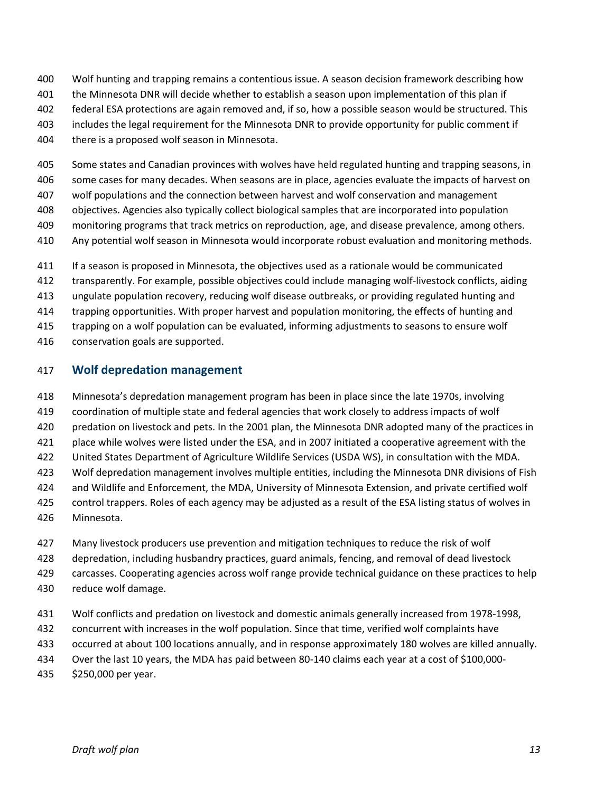- Wolf hunting and trapping remains a contentious issue. A season decision framework describing how
- the Minnesota DNR will decide whether to establish a season upon implementation of this plan if
- federal ESA protections are again removed and, if so, how a possible season would be structured. This
- includes the legal requirement for the Minnesota DNR to provide opportunity for public comment if
- there is a proposed wolf season in Minnesota.
- Some states and Canadian provinces with wolves have held regulated hunting and trapping seasons, in
- some cases for many decades. When seasons are in place, agencies evaluate the impacts of harvest on
- wolf populations and the connection between harvest and wolf conservation and management
- objectives. Agencies also typically collect biological samples that are incorporated into population
- monitoring programs that track metrics on reproduction, age, and disease prevalence, among others.
- Any potential wolf season in Minnesota would incorporate robust evaluation and monitoring methods.
- If a season is proposed in Minnesota, the objectives used as a rationale would be communicated
- transparently. For example, possible objectives could include managing wolf-livestock conflicts, aiding
- ungulate population recovery, reducing wolf disease outbreaks, or providing regulated hunting and
- trapping opportunities. With proper harvest and population monitoring, the effects of hunting and
- trapping on a wolf population can be evaluated, informing adjustments to seasons to ensure wolf
- conservation goals are supported.

#### <span id="page-14-0"></span>**Wolf depredation management**

- Minnesota's depredation management program has been in place since the late 1970s, involving
- coordination of multiple state and federal agencies that work closely to address impacts of wolf
- predation on livestock and pets. In the 2001 plan, the Minnesota DNR adopted many of the practices in
- place while wolves were listed under the ESA, and in 2007 initiated a cooperative agreement with the
- United States Department of Agriculture Wildlife Services (USDA WS), in consultation with the MDA.
- Wolf depredation management involves multiple entities, including the Minnesota DNR divisions of Fish
- and Wildlife and Enforcement, the MDA, University of Minnesota Extension, and private certified wolf
- control trappers. Roles of each agency may be adjusted as a result of the ESA listing status of wolves in
- Minnesota.
- Many livestock producers use prevention and mitigation techniques to reduce the risk of wolf
- depredation, including husbandry practices, guard animals, fencing, and removal of dead livestock
- carcasses. Cooperating agencies across wolf range provide technical guidance on these practices to help
- reduce wolf damage.
- Wolf conflicts and predation on livestock and domestic animals generally increased from 1978-1998,
- concurrent with increases in the wolf population. Since that time, verified wolf complaints have
- occurred at about 100 locations annually, and in response approximately 180 wolves are killed annually.
- Over the last 10 years, the MDA has paid between 80-140 claims each year at a cost of \$100,000-
- \$250,000 per year.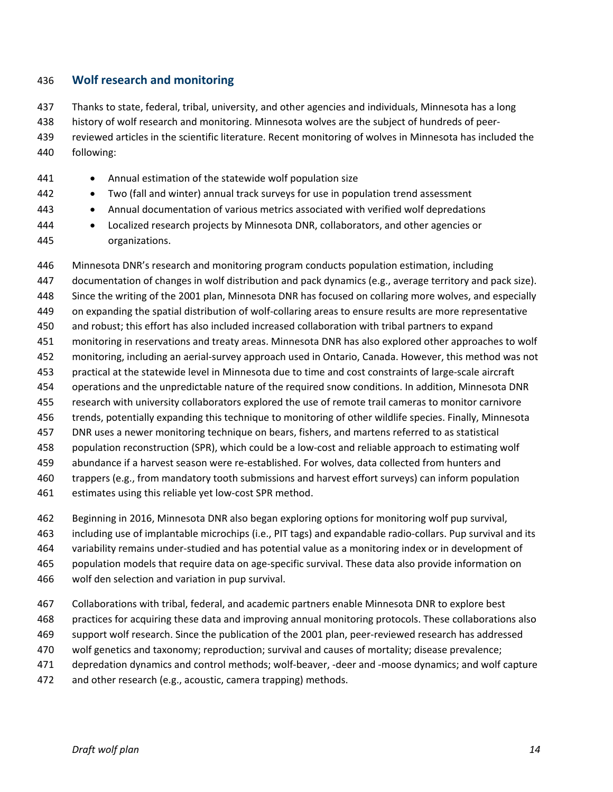#### <span id="page-15-0"></span>**Wolf research and monitoring**

 Thanks to state, federal, tribal, university, and other agencies and individuals, Minnesota has a long history of wolf research and monitoring. Minnesota wolves are the subject of hundreds of peer- reviewed articles in the scientific literature. Recent monitoring of wolves in Minnesota has included the following:

- 441 Annual estimation of the statewide wolf population size
- Two (fall and winter) annual track surveys for use in population trend assessment
- Annual documentation of various metrics associated with verified wolf depredations
- Localized research projects by Minnesota DNR, collaborators, and other agencies or organizations.

 Minnesota DNR's research and monitoring program conducts population estimation, including documentation of changes in wolf distribution and pack dynamics (e.g., average territory and pack size). Since the writing of the 2001 plan, Minnesota DNR has focused on collaring more wolves, and especially on expanding the spatial distribution of wolf-collaring areas to ensure results are more representative and robust; this effort has also included increased collaboration with tribal partners to expand monitoring in reservations and treaty areas. Minnesota DNR has also explored other approaches to wolf monitoring, including an aerial-survey approach used in Ontario, Canada. However, this method was not practical at the statewide level in Minnesota due to time and cost constraints of large-scale aircraft operations and the unpredictable nature of the required snow conditions. In addition, Minnesota DNR research with university collaborators explored the use of remote trail cameras to monitor carnivore trends, potentially expanding this technique to monitoring of other wildlife species. Finally, Minnesota DNR uses a newer monitoring technique on bears, fishers, and martens referred to as statistical population reconstruction (SPR), which could be a low-cost and reliable approach to estimating wolf abundance if a harvest season were re-established. For wolves, data collected from hunters and trappers (e.g., from mandatory tooth submissions and harvest effort surveys) can inform population estimates using this reliable yet low-cost SPR method.

- Beginning in 2016, Minnesota DNR also began exploring options for monitoring wolf pup survival,
- including use of implantable microchips (i.e., PIT tags) and expandable radio-collars. Pup survival and its
- variability remains under-studied and has potential value as a monitoring index or in development of
- population models that require data on age-specific survival. These data also provide information on
- wolf den selection and variation in pup survival.
- Collaborations with tribal, federal, and academic partners enable Minnesota DNR to explore best
- practices for acquiring these data and improving annual monitoring protocols. These collaborations also
- support wolf research. Since the publication of the 2001 plan, peer-reviewed research has addressed
- wolf genetics and taxonomy; reproduction; survival and causes of mortality; disease prevalence;
- depredation dynamics and control methods; wolf-beaver, -deer and -moose dynamics; and wolf capture
- and other research (e.g., acoustic, camera trapping) methods.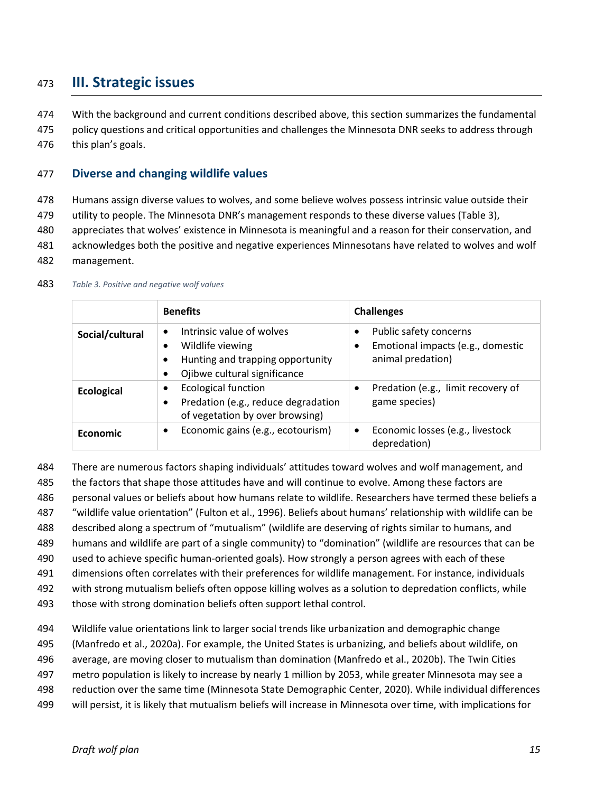# <span id="page-16-0"></span>**III. Strategic issues**

- With the background and current conditions described above, this section summarizes the fundamental
- policy questions and critical opportunities and challenges the Minnesota DNR seeks to address through
- this plan's goals.

#### <span id="page-16-1"></span>**Diverse and changing wildlife values**

- Humans assign diverse values to wolves, and some believe wolves possess intrinsic value outside their
- utility to people. The Minnesota DNR's management responds to these diverse values [\(Table 3\)](#page-16-2),
- appreciates that wolves' existence in Minnesota is meaningful and a reason for their conservation, and
- acknowledges both the positive and negative experiences Minnesotans have related to wolves and wolf
- management.

<span id="page-16-2"></span>

|                   | <b>Benefits</b>                                                                                                                                          | <b>Challenges</b>                                                                     |
|-------------------|----------------------------------------------------------------------------------------------------------------------------------------------------------|---------------------------------------------------------------------------------------|
| Social/cultural   | Intrinsic value of wolves<br>$\bullet$<br>Wildlife viewing<br>$\bullet$<br>Hunting and trapping opportunity<br>$\bullet$<br>Ojibwe cultural significance | Public safety concerns<br>Emotional impacts (e.g., domestic<br>٠<br>animal predation) |
| <b>Ecological</b> | <b>Ecological function</b><br>$\bullet$<br>Predation (e.g., reduce degradation<br>$\bullet$<br>of vegetation by over browsing)                           | Predation (e.g., limit recovery of<br>game species)                                   |
| Economic          | Economic gains (e.g., ecotourism)<br>$\bullet$                                                                                                           | Economic losses (e.g., livestock<br>$\bullet$<br>depredation)                         |

#### *Table 3. Positive and negative wolf values*

- There are numerous factors shaping individuals' attitudes toward wolves and wolf management, and
- the factors that shape those attitudes have and will continue to evolve. Among these factors are
- personal values or beliefs about how humans relate to wildlife. Researchers have termed these beliefs a
- "wildlife value orientation" (Fulton et al., 1996). Beliefs about humans' relationship with wildlife can be
- described along a spectrum of "mutualism" (wildlife are deserving of rights similar to humans, and
- humans and wildlife are part of a single community) to "domination" (wildlife are resources that can be
- used to achieve specific human-oriented goals). How strongly a person agrees with each of these
- dimensions often correlates with their preferences for wildlife management. For instance, individuals
- with strong mutualism beliefs often oppose killing wolves as a solution to depredation conflicts, while
- those with strong domination beliefs often support lethal control.
- Wildlife value orientations link to larger social trends like urbanization and demographic change
- (Manfredo et al., 2020a). For example, the United States is urbanizing, and beliefs about wildlife, on
- average, are moving closer to mutualism than domination (Manfredo et al., 2020b). The Twin Cities
- metro population is likely to increase by nearly 1 million by 2053, while greater Minnesota may see a
- reduction over the same time (Minnesota State Demographic Center, 2020). While individual differences
- will persist, it is likely that mutualism beliefs will increase in Minnesota over time, with implications for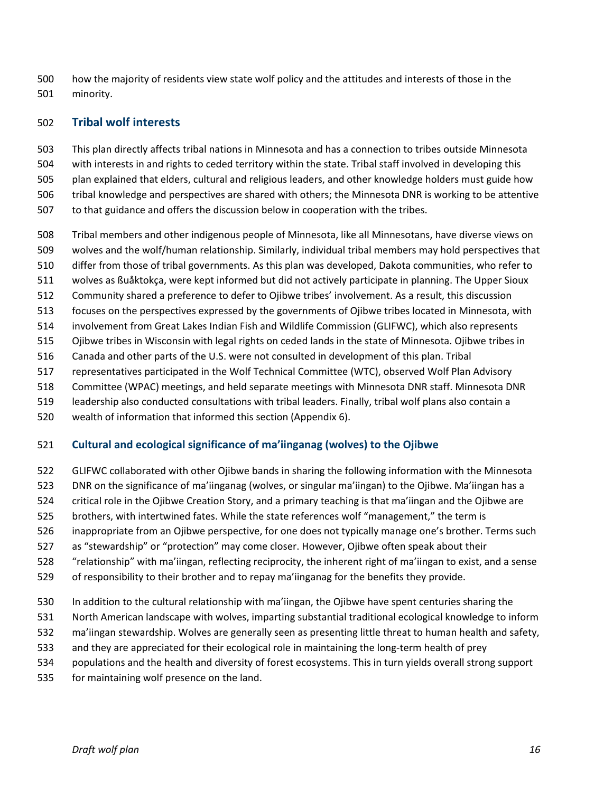how the majority of residents view state wolf policy and the attitudes and interests of those in the minority.

#### <span id="page-17-0"></span>**Tribal wolf interests**

 This plan directly affects tribal nations in Minnesota and has a connection to tribes outside Minnesota with interests in and rights to ceded territory within the state. Tribal staff involved in developing this plan explained that elders, cultural and religious leaders, and other knowledge holders must guide how tribal knowledge and perspectives are shared with others; the Minnesota DNR is working to be attentive to that guidance and offers the discussion below in cooperation with the tribes.

- Tribal members and other indigenous people of Minnesota, like all Minnesotans, have diverse views on
- wolves and the wolf/human relationship. Similarly, individual tribal members may hold perspectives that
- differ from those of tribal governments. As this plan was developed, Dakota communities, who refer to
- wolves as ßuåktokça, were kept informed but did not actively participate in planning. The Upper Sioux
- Community shared a preference to defer to Ojibwe tribes' involvement. As a result, this discussion
- focuses on the perspectives expressed by the governments of Ojibwe tribes located in Minnesota, with
- involvement from Great Lakes Indian Fish and Wildlife Commission (GLIFWC), which also represents
- Ojibwe tribes in Wisconsin with legal rights on ceded lands in the state of Minnesota. Ojibwe tribes in
- Canada and other parts of the U.S. were not consulted in development of this plan. Tribal
- representatives participated in the Wolf Technical Committee (WTC), observed Wolf Plan Advisory
- Committee (WPAC) meetings, and held separate meetings with Minnesota DNR staff. Minnesota DNR
- leadership also conducted consultations with tribal leaders. Finally, tribal wolf plans also contain a
- wealth of information that informed this section (Appendix 6).

#### **Cultural and ecological significance of ma'iinganag (wolves) to the Ojibwe**

- GLIFWC collaborated with other Ojibwe bands in sharing the following information with the Minnesota
- DNR on the significance of ma'iinganag (wolves, or singular ma'iingan) to the Ojibwe. Ma'iingan has a
- critical role in the Ojibwe Creation Story, and a primary teaching is that ma'iingan and the Ojibwe are
- brothers, with intertwined fates. While the state references wolf "management," the term is
- inappropriate from an Ojibwe perspective, for one does not typically manage one's brother. Terms such
- as "stewardship" or "protection" may come closer. However, Ojibwe often speak about their
- "relationship" with ma'iingan, reflecting reciprocity, the inherent right of ma'iingan to exist, and a sense
- of responsibility to their brother and to repay ma'iinganag for the benefits they provide.
- In addition to the cultural relationship with ma'iingan, the Ojibwe have spent centuries sharing the
- North American landscape with wolves, imparting substantial traditional ecological knowledge to inform
- ma'iingan stewardship. Wolves are generally seen as presenting little threat to human health and safety,
- and they are appreciated for their ecological role in maintaining the long-term health of prey
- populations and the health and diversity of forest ecosystems. This in turn yields overall strong support
- for maintaining wolf presence on the land.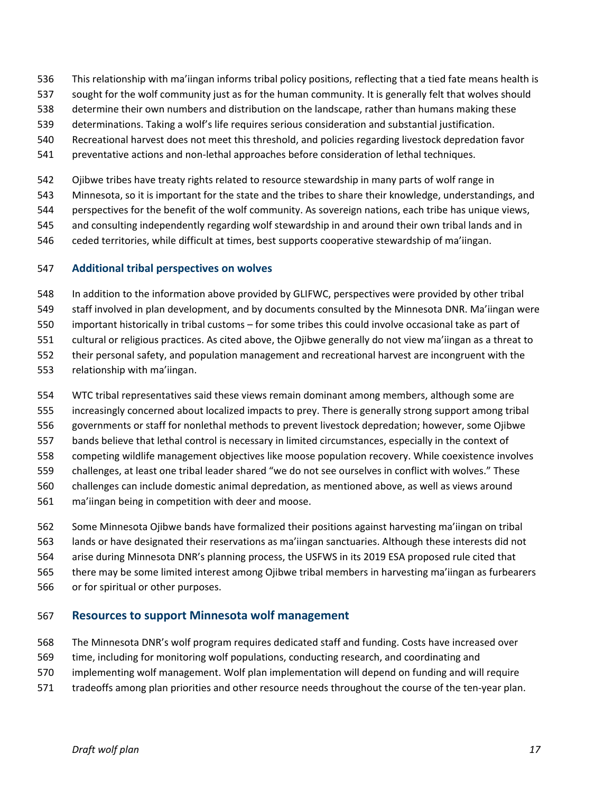- This relationship with ma'iingan informs tribal policy positions, reflecting that a tied fate means health is
- sought for the wolf community just as for the human community. It is generally felt that wolves should
- determine their own numbers and distribution on the landscape, rather than humans making these
- determinations. Taking a wolf's life requires serious consideration and substantial justification.
- Recreational harvest does not meet this threshold, and policies regarding livestock depredation favor
- preventative actions and non-lethal approaches before consideration of lethal techniques.
- Ojibwe tribes have treaty rights related to resource stewardship in many parts of wolf range in
- Minnesota, so it is important for the state and the tribes to share their knowledge, understandings, and
- perspectives for the benefit of the wolf community. As sovereign nations, each tribe has unique views,
- and consulting independently regarding wolf stewardship in and around their own tribal lands and in
- ceded territories, while difficult at times, best supports cooperative stewardship of ma'iingan.

### **Additional tribal perspectives on wolves**

- In addition to the information above provided by GLIFWC, perspectives were provided by other tribal
- staff involved in plan development, and by documents consulted by the Minnesota DNR. Ma'iingan were
- important historically in tribal customs for some tribes this could involve occasional take as part of
- cultural or religious practices. As cited above, the Ojibwe generally do not view ma'iingan as a threat to
- their personal safety, and population management and recreational harvest are incongruent with the
- relationship with ma'iingan.
- WTC tribal representatives said these views remain dominant among members, although some are
- increasingly concerned about localized impacts to prey. There is generally strong support among tribal
- governments or staff for nonlethal methods to prevent livestock depredation; however, some Ojibwe
- bands believe that lethal control is necessary in limited circumstances, especially in the context of
- competing wildlife management objectives like moose population recovery. While coexistence involves
- challenges, at least one tribal leader shared "we do not see ourselves in conflict with wolves." These
- challenges can include domestic animal depredation, as mentioned above, as well as views around
- ma'iingan being in competition with deer and moose.
- Some Minnesota Ojibwe bands have formalized their positions against harvesting ma'iingan on tribal
- lands or have designated their reservations as ma'iingan sanctuaries. Although these interests did not
- arise during Minnesota DNR's planning process, the USFWS in its 2019 ESA proposed rule cited that
- there may be some limited interest among Ojibwe tribal members in harvesting ma'iingan as furbearers
- or for spiritual or other purposes.

# <span id="page-18-0"></span>**Resources to support Minnesota wolf management**

- The Minnesota DNR's wolf program requires dedicated staff and funding. Costs have increased over
- time, including for monitoring wolf populations, conducting research, and coordinating and
- implementing wolf management. Wolf plan implementation will depend on funding and will require
- tradeoffs among plan priorities and other resource needs throughout the course of the ten-year plan.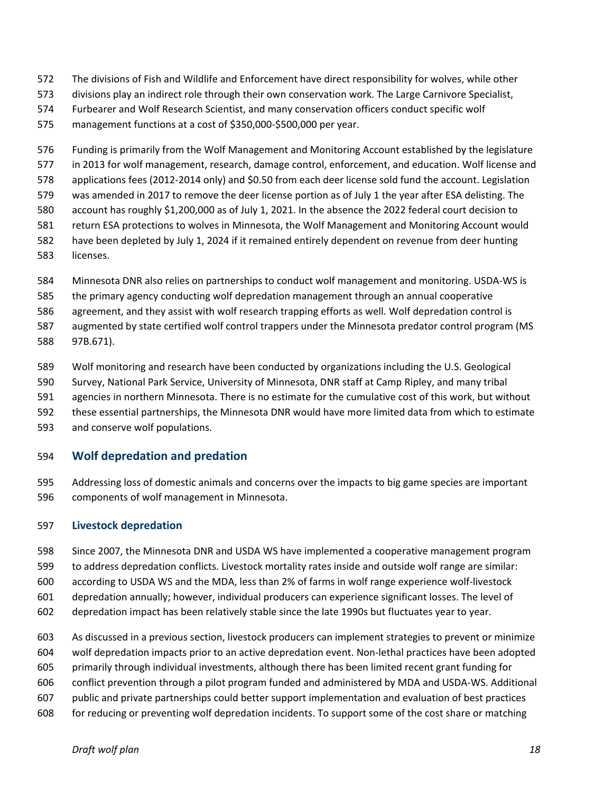- The divisions of Fish and Wildlife and Enforcement have direct responsibility for wolves, while other
- divisions play an indirect role through their own conservation work. The Large Carnivore Specialist,
- Furbearer and Wolf Research Scientist, and many conservation officers conduct specific wolf
- management functions at a cost of \$350,000-\$500,000 per year.
- Funding is primarily from the Wolf Management and Monitoring Account established by the legislature
- in 2013 for wolf management, research, damage control, enforcement, and education. Wolf license and
- applications fees (2012-2014 only) and \$0.50 from each deer license sold fund the account. Legislation
- was amended in 2017 to remove the deer license portion as of July 1 the year after ESA delisting. The
- account has roughly \$1,200,000 as of July 1, 2021. In the absence the 2022 federal court decision to
- return ESA protections to wolves in Minnesota, the Wolf Management and Monitoring Account would
- have been depleted by July 1, 2024 if it remained entirely dependent on revenue from deer hunting
- licenses.
- Minnesota DNR also relies on partnerships to conduct wolf management and monitoring. USDA-WS is
- the primary agency conducting wolf depredation management through an annual cooperative
- agreement, and they assist with wolf research trapping efforts as well. Wolf depredation control is
- augmented by state certified wolf control trappers under the Minnesota predator control program (MS 97B.671).
- Wolf monitoring and research have been conducted by organizations including the U.S. Geological
- Survey, National Park Service, University of Minnesota, DNR staff at Camp Ripley, and many tribal
- agencies in northern Minnesota. There is no estimate for the cumulative cost of this work, but without
- these essential partnerships, the Minnesota DNR would have more limited data from which to estimate
- and conserve wolf populations.

#### <span id="page-19-0"></span>**Wolf depredation and predation**

 Addressing loss of domestic animals and concerns over the impacts to big game species are important components of wolf management in Minnesota.

#### **Livestock depredation**

- Since 2007, the Minnesota DNR and USDA WS have implemented a cooperative management program
- to address depredation conflicts. Livestock mortality rates inside and outside wolf range are similar:
- according to USDA WS and the MDA, less than 2% of farms in wolf range experience wolf-livestock
- depredation annually; however, individual producers can experience significant losses. The level of
- depredation impact has been relatively stable since the late 1990s but fluctuates year to year.
- As discussed in a previous section, livestock producers can implement strategies to prevent or minimize
- wolf depredation impacts prior to an active depredation event. Non-lethal practices have been adopted
- primarily through individual investments, although there has been limited recent grant funding for
- conflict prevention through a pilot program funded and administered by MDA and USDA-WS. Additional
- public and private partnerships could better support implementation and evaluation of best practices
- for reducing or preventing wolf depredation incidents. To support some of the cost share or matching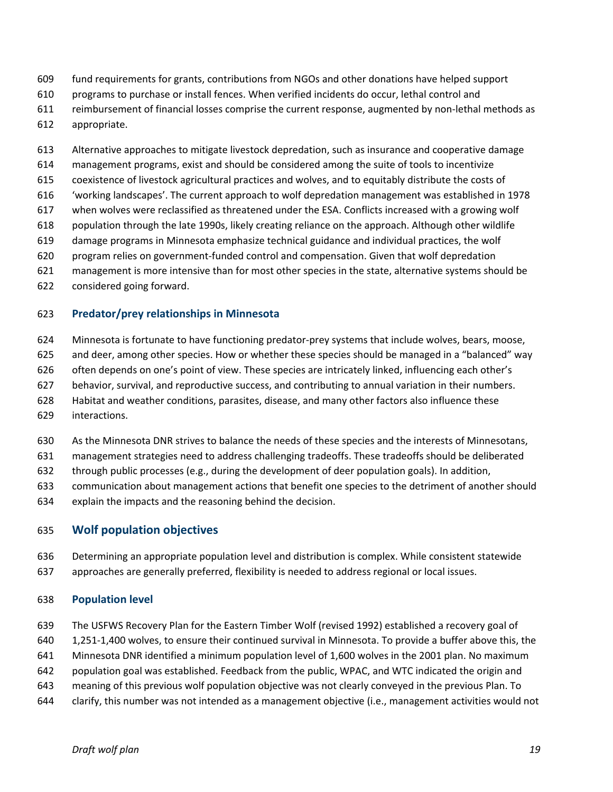- fund requirements for grants, contributions from NGOs and other donations have helped support
- programs to purchase or install fences. When verified incidents do occur, lethal control and
- reimbursement of financial losses comprise the current response, augmented by non-lethal methods as
- appropriate.
- Alternative approaches to mitigate livestock depredation, such as insurance and cooperative damage
- management programs, exist and should be considered among the suite of tools to incentivize
- coexistence of livestock agricultural practices and wolves, and to equitably distribute the costs of
- 'working landscapes'. The current approach to wolf depredation management was established in 1978
- when wolves were reclassified as threatened under the ESA. Conflicts increased with a growing wolf
- population through the late 1990s, likely creating reliance on the approach. Although other wildlife
- damage programs in Minnesota emphasize technical guidance and individual practices, the wolf
- program relies on government-funded control and compensation. Given that wolf depredation
- management is more intensive than for most other species in the state, alternative systems should be
- considered going forward.

#### **Predator/prey relationships in Minnesota**

- Minnesota is fortunate to have functioning predator-prey systems that include wolves, bears, moose,
- and deer, among other species. How or whether these species should be managed in a "balanced" way
- often depends on one's point of view. These species are intricately linked, influencing each other's
- behavior, survival, and reproductive success, and contributing to annual variation in their numbers.
- Habitat and weather conditions, parasites, disease, and many other factors also influence these
- interactions.
- As the Minnesota DNR strives to balance the needs of these species and the interests of Minnesotans,
- management strategies need to address challenging tradeoffs. These tradeoffs should be deliberated
- through public processes (e.g., during the development of deer population goals). In addition,
- communication about management actions that benefit one species to the detriment of another should
- explain the impacts and the reasoning behind the decision.

#### <span id="page-20-0"></span>**Wolf population objectives**

- Determining an appropriate population level and distribution is complex. While consistent statewide
- approaches are generally preferred, flexibility is needed to address regional or local issues.

#### **Population level**

- The USFWS Recovery Plan for the Eastern Timber Wolf (revised 1992) established a recovery goal of
- 1,251-1,400 wolves, to ensure their continued survival in Minnesota. To provide a buffer above this, the
- Minnesota DNR identified a minimum population level of 1,600 wolves in the 2001 plan. No maximum
- population goal was established. Feedback from the public, WPAC, and WTC indicated the origin and
- meaning of this previous wolf population objective was not clearly conveyed in the previous Plan. To
- clarify, this number was not intended as a management objective (i.e., management activities would not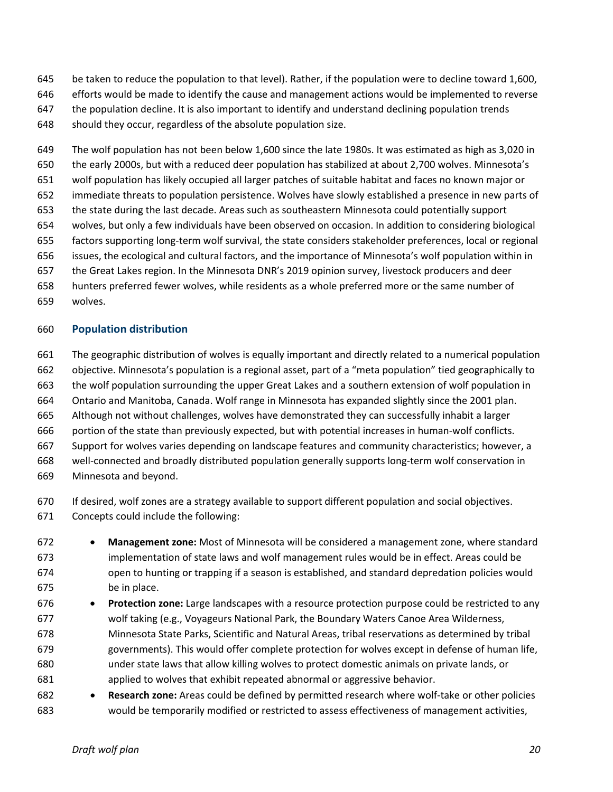- be taken to reduce the population to that level). Rather, if the population were to decline toward 1,600,
- efforts would be made to identify the cause and management actions would be implemented to reverse
- the population decline. It is also important to identify and understand declining population trends
- should they occur, regardless of the absolute population size.

 The wolf population has not been below 1,600 since the late 1980s. It was estimated as high as 3,020 in the early 2000s, but with a reduced deer population has stabilized at about 2,700 wolves. Minnesota's wolf population has likely occupied all larger patches of suitable habitat and faces no known major or immediate threats to population persistence. Wolves have slowly established a presence in new parts of the state during the last decade. Areas such as southeastern Minnesota could potentially support wolves, but only a few individuals have been observed on occasion. In addition to considering biological factors supporting long-term wolf survival, the state considers stakeholder preferences, local or regional issues, the ecological and cultural factors, and the importance of Minnesota's wolf population within in the Great Lakes region. In the Minnesota DNR's 2019 opinion survey, livestock producers and deer hunters preferred fewer wolves, while residents as a whole preferred more or the same number of wolves.

#### **Population distribution**

- The geographic distribution of wolves is equally important and directly related to a numerical population objective. Minnesota's population is a regional asset, part of a "meta population" tied geographically to the wolf population surrounding the upper Great Lakes and a southern extension of wolf population in Ontario and Manitoba, Canada. Wolf range in Minnesota has expanded slightly since the 2001 plan. Although not without challenges, wolves have demonstrated they can successfully inhabit a larger portion of the state than previously expected, but with potential increases in human-wolf conflicts. Support for wolves varies depending on landscape features and community characteristics; however, a well-connected and broadly distributed population generally supports long-term wolf conservation in Minnesota and beyond.
- If desired, wolf zones are a strategy available to support different population and social objectives. Concepts could include the following:
- **Management zone:** Most of Minnesota will be considered a management zone, where standard implementation of state laws and wolf management rules would be in effect. Areas could be
- open to hunting or trapping if a season is established, and standard depredation policies would be in place.
- **Protection zone:** Large landscapes with a resource protection purpose could be restricted to any wolf taking (e.g., Voyageurs National Park, the Boundary Waters Canoe Area Wilderness, Minnesota State Parks, Scientific and Natural Areas, tribal reservations as determined by tribal governments). This would offer complete protection for wolves except in defense of human life, under state laws that allow killing wolves to protect domestic animals on private lands, or applied to wolves that exhibit repeated abnormal or aggressive behavior.
- **Research zone:** Areas could be defined by permitted research where wolf-take or other policies would be temporarily modified or restricted to assess effectiveness of management activities,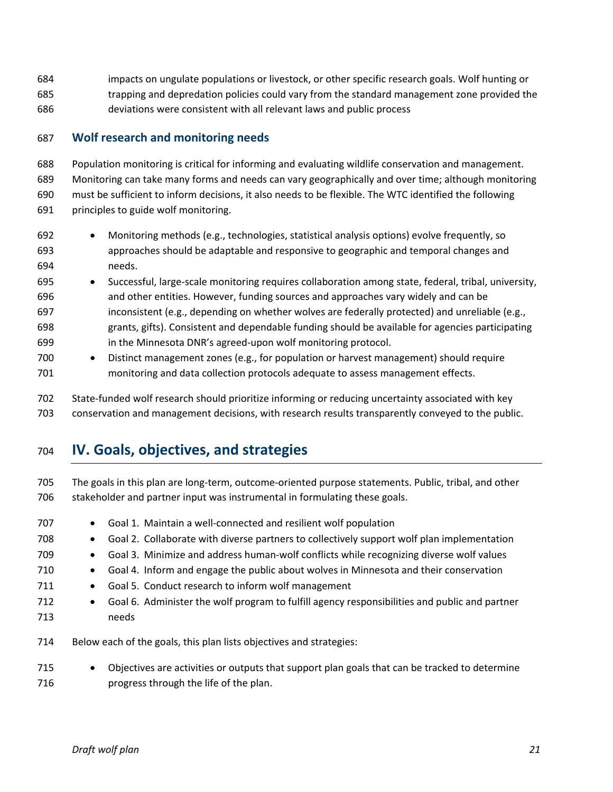impacts on ungulate populations or livestock, or other specific research goals. Wolf hunting or trapping and depredation policies could vary from the standard management zone provided the deviations were consistent with all relevant laws and public process

#### <span id="page-22-0"></span>**Wolf research and monitoring needs**

 Population monitoring is critical for informing and evaluating wildlife conservation and management. Monitoring can take many forms and needs can vary geographically and over time; although monitoring must be sufficient to inform decisions, it also needs to be flexible. The WTC identified the following principles to guide wolf monitoring.

- Monitoring methods (e.g., technologies, statistical analysis options) evolve frequently, so approaches should be adaptable and responsive to geographic and temporal changes and needs.
- Successful, large-scale monitoring requires collaboration among state, federal, tribal, university, and other entities. However, funding sources and approaches vary widely and can be inconsistent (e.g., depending on whether wolves are federally protected) and unreliable (e.g., grants, gifts). Consistent and dependable funding should be available for agencies participating in the Minnesota DNR's agreed-upon wolf monitoring protocol.
- Distinct management zones (e.g., for population or harvest management) should require monitoring and data collection protocols adequate to assess management effects.

 State-funded wolf research should prioritize informing or reducing uncertainty associated with key conservation and management decisions, with research results transparently conveyed to the public.

# <span id="page-22-1"></span>**IV. Goals, objectives, and strategies**

 The goals in this plan are long-term, outcome-oriented purpose statements. Public, tribal, and other 706 stakeholder and partner input was instrumental in formulating these goals.

707 • Goal 1. Maintain a well-connected and resilient wolf population 708 • Goal 2. Collaborate with diverse partners to collectively support wolf plan implementation • Goal 3. Minimize and address human-wolf conflicts while recognizing diverse wolf values • Goal 4. Inform and engage the public about wolves in Minnesota and their conservation 711 • Goal 5. Conduct research to inform wolf management • Goal 6. Administer the wolf program to fulfill agency responsibilities and public and partner needs Below each of the goals, this plan lists objectives and strategies: • Objectives are activities or outputs that support plan goals that can be tracked to determine

progress through the life of the plan.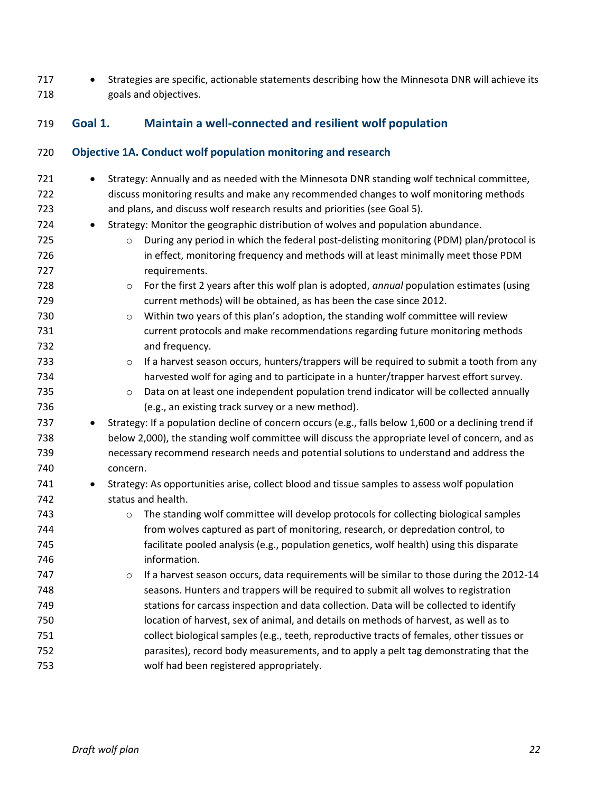717 • Strategies are specific, actionable statements describing how the Minnesota DNR will achieve its goals and objectives.

#### <span id="page-23-0"></span>**Goal 1. Maintain a well-connected and resilient wolf population**

#### **Objective 1A. Conduct wolf population monitoring and research**

721 • Strategy: Annually and as needed with the Minnesota DNR standing wolf technical committee, discuss monitoring results and make any recommended changes to wolf monitoring methods and plans, and discuss wolf research results and priorities (see Goal 5). 724 • Strategy: Monitor the geographic distribution of wolves and population abundance. **b and Strate and Tomas in Strate is a proper** on During any period in which the federal post-delisting monitoring (PDM) plan/protocol is in effect, monitoring frequency and methods will at least minimally meet those PDM requirements. o For the first 2 years after this wolf plan is adopted, *annual* population estimates (using current methods) will be obtained, as has been the case since 2012. 730 b O Within two years of this plan's adoption, the standing wolf committee will review current protocols and make recommendations regarding future monitoring methods and frequency. **beids of the harvest season occurs, hunters/trappers will be required to submit a tooth from any**  harvested wolf for aging and to participate in a hunter/trapper harvest effort survey. **b Example 20 o Data on at least one independent population trend indicator will be collected annually**  (e.g., an existing track survey or a new method). 737 • Strategy: If a population decline of concern occurs (e.g., falls below 1,600 or a declining trend if below 2,000), the standing wolf committee will discuss the appropriate level of concern, and as necessary recommend research needs and potential solutions to understand and address the concern. 741 • Strategy: As opportunities arise, collect blood and tissue samples to assess wolf population status and health. o The standing wolf committee will develop protocols for collecting biological samples from wolves captured as part of monitoring, research, or depredation control, to facilitate pooled analysis (e.g., population genetics, wolf health) using this disparate information. **b Exercise** o If a harvest season occurs, data requirements will be similar to those during the 2012-14 seasons. Hunters and trappers will be required to submit all wolves to registration stations for carcass inspection and data collection. Data will be collected to identify location of harvest, sex of animal, and details on methods of harvest, as well as to collect biological samples (e.g., teeth, reproductive tracts of females, other tissues or parasites), record body measurements, and to apply a pelt tag demonstrating that the wolf had been registered appropriately.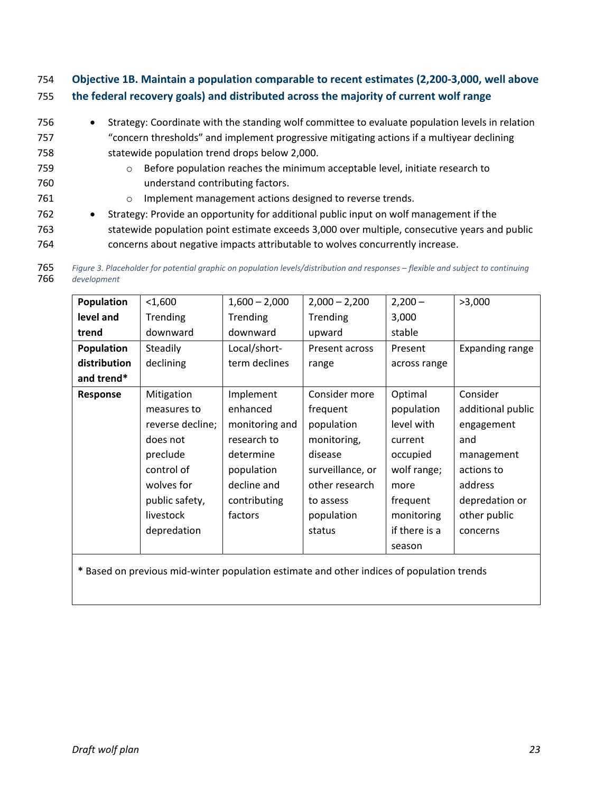#### 754 **Objective 1B. Maintain a population comparable to recent estimates (2,200-3,000, well above**  755 **the federal recovery goals) and distributed across the majority of current wolf range**

- 756 Strategy: Coordinate with the standing wolf committee to evaluate population levels in relation 757 "concern thresholds" and implement progressive mitigating actions if a multiyear declining 758 statewide population trend drops below 2,000. 759 o Before population reaches the minimum acceptable level, initiate research to 760 understand contributing factors. 761 o Implement management actions designed to reverse trends.
- 762 Strategy: Provide an opportunity for additional public input on wolf management if the 763 statewide population point estimate exceeds 3,000 over multiple, consecutive years and public 764 concerns about negative impacts attributable to wolves concurrently increase.

| 765 | Figure 3. Placeholder for potential graphic on population levels/distribution and responses - flexible and subject to continuing |
|-----|----------------------------------------------------------------------------------------------------------------------------------|
| 766 | development                                                                                                                      |

| Population   | $1,600$          | $1,600 - 2,000$ | $2,000 - 2,200$  | $2,200 -$     | >3,000                 |
|--------------|------------------|-----------------|------------------|---------------|------------------------|
| level and    | Trending         | Trending        | Trending         | 3,000         |                        |
| trend        | downward         | downward        | upward           | stable        |                        |
| Population   | Steadily         | Local/short-    | Present across   | Present       | <b>Expanding range</b> |
| distribution | declining        | term declines   | range            | across range  |                        |
| and trend*   |                  |                 |                  |               |                        |
| Response     | Mitigation       | Implement       | Consider more    | Optimal       | Consider               |
|              | measures to      | enhanced        | frequent         | population    | additional public      |
|              | reverse decline; | monitoring and  | population       | level with    | engagement             |
|              | does not         | research to     | monitoring,      | current       | and                    |
|              | preclude         | determine       | disease          | occupied      | management             |
|              | control of       | population      | surveillance, or | wolf range;   | actions to             |
|              | wolves for       | decline and     | other research   | more          | address                |
|              | public safety,   | contributing    | to assess        | frequent      | depredation or         |
|              | livestock        | factors         | population       | monitoring    | other public           |
|              | depredation      |                 | status           | if there is a | concerns               |
|              |                  |                 |                  | season        |                        |

**\*** Based on previous mid-winter population estimate and other indices of population trends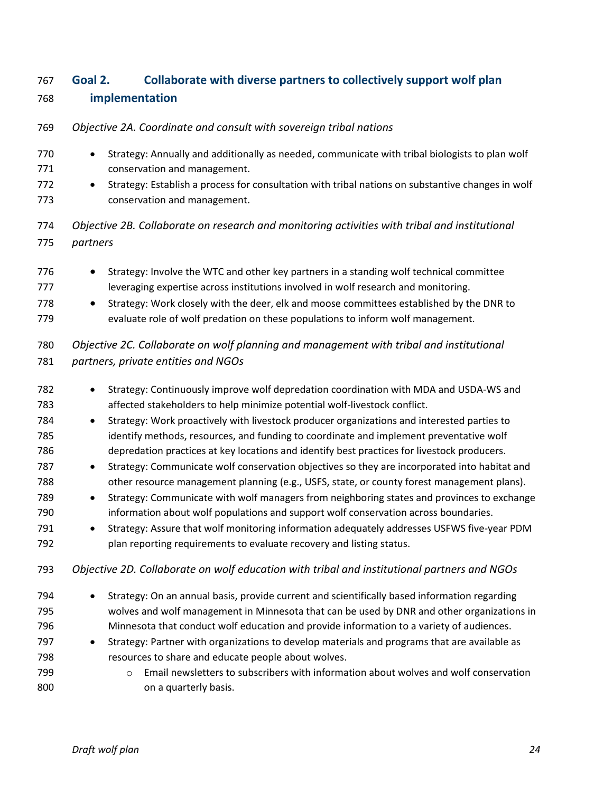# <span id="page-25-0"></span> **Goal 2. Collaborate with diverse partners to collectively support wolf plan implementation**

- *Objective 2A. Coordinate and consult with sovereign tribal nations*
- 770 Strategy: Annually and additionally as needed, communicate with tribal biologists to plan wolf conservation and management.
- Strategy: Establish a process for consultation with tribal nations on substantive changes in wolf conservation and management.
- *Objective 2B. Collaborate on research and monitoring activities with tribal and institutional partners*
- 776 Strategy: Involve the WTC and other key partners in a standing wolf technical committee 777 leveraging expertise across institutions involved in wolf research and monitoring.
- 778 Strategy: Work closely with the deer, elk and moose committees established by the DNR to evaluate role of wolf predation on these populations to inform wolf management.

### *Objective 2C. Collaborate on wolf planning and management with tribal and institutional partners, private entities and NGOs*

- Strategy: Continuously improve wolf depredation coordination with MDA and USDA-WS and affected stakeholders to help minimize potential wolf-livestock conflict.
- Strategy: Work proactively with livestock producer organizations and interested parties to identify methods, resources, and funding to coordinate and implement preventative wolf depredation practices at key locations and identify best practices for livestock producers.
- Strategy: Communicate wolf conservation objectives so they are incorporated into habitat and 788 other resource management planning (e.g., USFS, state, or county forest management plans).
- Strategy: Communicate with wolf managers from neighboring states and provinces to exchange information about wolf populations and support wolf conservation across boundaries.
- Strategy: Assure that wolf monitoring information adequately addresses USFWS five-year PDM plan reporting requirements to evaluate recovery and listing status.
- *Objective 2D. Collaborate on wolf education with tribal and institutional partners and NGOs*
- Strategy: On an annual basis, provide current and scientifically based information regarding wolves and wolf management in Minnesota that can be used by DNR and other organizations in Minnesota that conduct wolf education and provide information to a variety of audiences. • Strategy: Partner with organizations to develop materials and programs that are available as resources to share and educate people about wolves. **cance in Email newsletters to subscribers with information about wolves and wolf conservation**
- **b** on a quarterly basis.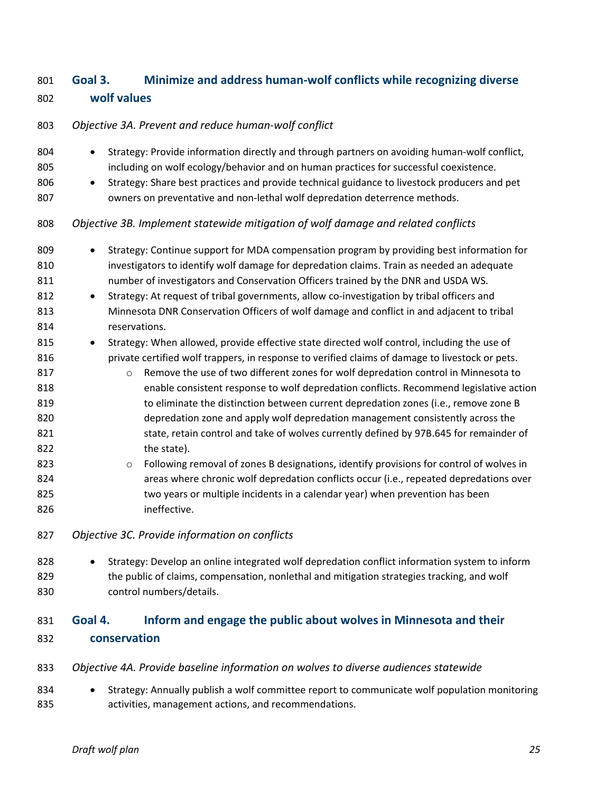# <span id="page-26-0"></span> **Goal 3. Minimize and address human-wolf conflicts while recognizing diverse wolf values**

# *Objective 3A. Prevent and reduce human-wolf conflict*  804 • Strategy: Provide information directly and through partners on avoiding human-wolf conflict, including on wolf ecology/behavior and on human practices for successful coexistence. 806 • Strategy: Share best practices and provide technical guidance to livestock producers and pet owners on preventative and non-lethal wolf depredation deterrence methods. *Objective 3B. Implement statewide mitigation of wolf damage and related conflicts*  809 • Strategy: Continue support for MDA compensation program by providing best information for investigators to identify wolf damage for depredation claims. Train as needed an adequate number of investigators and Conservation Officers trained by the DNR and USDA WS. 812 • Strategy: At request of tribal governments, allow co-investigation by tribal officers and Minnesota DNR Conservation Officers of wolf damage and conflict in and adjacent to tribal reservations. 815 • Strategy: When allowed, provide effective state directed wolf control, including the use of **private certified wolf trappers, in response to verified claims of damage to livestock or pets. business of two different zones for wolf depredation control in Minnesota to**  enable consistent response to wolf depredation conflicts. Recommend legislative action to eliminate the distinction between current depredation zones (i.e., remove zone B depredation zone and apply wolf depredation management consistently across the 821 state, retain control and take of wolves currently defined by 97B.645 for remainder of 822 the state). 823  $\circ$  Following removal of zones B designations, identify provisions for control of wolves in areas where chronic wolf depredation conflicts occur (i.e., repeated depredations over two years or multiple incidents in a calendar year) when prevention has been ineffective. *Objective 3C. Provide information on conflicts*  828 • Strategy: Develop an online integrated wolf depredation conflict information system to inform 829 the public of claims, compensation, nonlethal and mitigation strategies tracking, and wolf control numbers/details. **Goal 4. Inform and engage the public about wolves in Minnesota and their**

<span id="page-26-1"></span>**conservation** 

|  | 833 Objective 4A. Provide baseline information on wolves to diverse audiences statewide |
|--|-----------------------------------------------------------------------------------------|
|  |                                                                                         |

834 • Strategy: Annually publish a wolf committee report to communicate wolf population monitoring activities, management actions, and recommendations.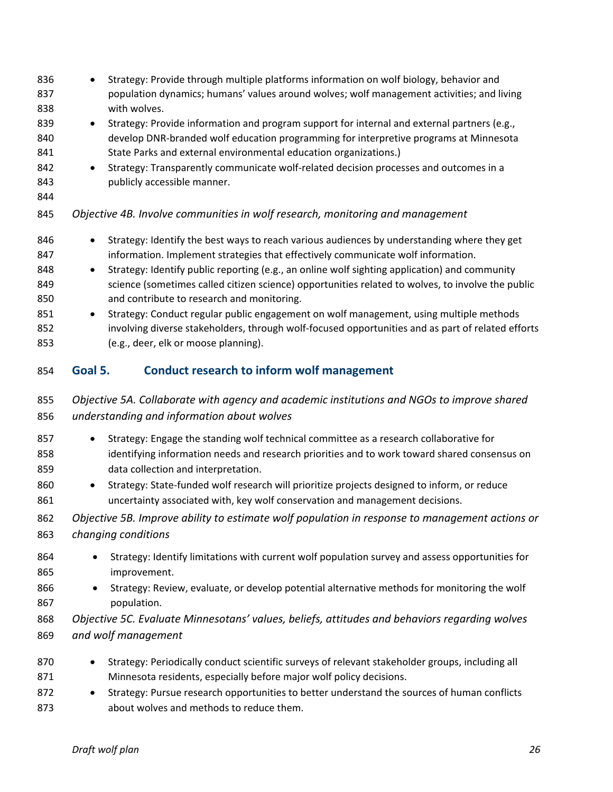<span id="page-27-0"></span>

| 836<br>837<br>838                                    | Strategy: Provide through multiple platforms information on wolf biology, behavior and<br>$\bullet$<br>population dynamics; humans' values around wolves; wolf management activities; and living<br>with wolves.                                                                                                                                                                                                                                                                                                                                                                                                                                                                        |
|------------------------------------------------------|-----------------------------------------------------------------------------------------------------------------------------------------------------------------------------------------------------------------------------------------------------------------------------------------------------------------------------------------------------------------------------------------------------------------------------------------------------------------------------------------------------------------------------------------------------------------------------------------------------------------------------------------------------------------------------------------|
| 839<br>840<br>841<br>842                             | Strategy: Provide information and program support for internal and external partners (e.g.,<br>$\bullet$<br>develop DNR-branded wolf education programming for interpretive programs at Minnesota<br>State Parks and external environmental education organizations.)<br>Strategy: Transparently communicate wolf-related decision processes and outcomes in a<br>$\bullet$                                                                                                                                                                                                                                                                                                             |
| 843<br>844                                           | publicly accessible manner.                                                                                                                                                                                                                                                                                                                                                                                                                                                                                                                                                                                                                                                             |
| 845                                                  | Objective 4B. Involve communities in wolf research, monitoring and management                                                                                                                                                                                                                                                                                                                                                                                                                                                                                                                                                                                                           |
| 846<br>847<br>848<br>849<br>850<br>851<br>852<br>853 | Strategy: Identify the best ways to reach various audiences by understanding where they get<br>information. Implement strategies that effectively communicate wolf information.<br>Strategy: Identify public reporting (e.g., an online wolf sighting application) and community<br>$\bullet$<br>science (sometimes called citizen science) opportunities related to wolves, to involve the public<br>and contribute to research and monitoring.<br>Strategy: Conduct regular public engagement on wolf management, using multiple methods<br>involving diverse stakeholders, through wolf-focused opportunities and as part of related efforts<br>(e.g., deer, elk or moose planning). |
| 854                                                  | <b>Conduct research to inform wolf management</b><br>Goal 5.                                                                                                                                                                                                                                                                                                                                                                                                                                                                                                                                                                                                                            |
| 855<br>856                                           | Objective 5A. Collaborate with agency and academic institutions and NGOs to improve shared<br>understanding and information about wolves                                                                                                                                                                                                                                                                                                                                                                                                                                                                                                                                                |
| 857<br>858<br>859<br>860<br>861                      | Strategy: Engage the standing wolf technical committee as a research collaborative for<br>٠<br>identifying information needs and research priorities and to work toward shared consensus on<br>data collection and interpretation.<br>Strategy: State-funded wolf research will prioritize projects designed to inform, or reduce<br>$\bullet$<br>uncertainty associated with, key wolf conservation and management decisions.                                                                                                                                                                                                                                                          |
| 862<br>863                                           | Objective 5B. Improve ability to estimate wolf population in response to management actions or<br>changing conditions                                                                                                                                                                                                                                                                                                                                                                                                                                                                                                                                                                   |
| 864<br>865<br>866<br>867                             | Strategy: Identify limitations with current wolf population survey and assess opportunities for<br>improvement.<br>Strategy: Review, evaluate, or develop potential alternative methods for monitoring the wolf<br>$\bullet$<br>population.                                                                                                                                                                                                                                                                                                                                                                                                                                             |
| 868<br>869                                           | Objective 5C. Evaluate Minnesotans' values, beliefs, attitudes and behaviors regarding wolves<br>and wolf management                                                                                                                                                                                                                                                                                                                                                                                                                                                                                                                                                                    |
| 870<br>871<br>872<br>873                             | Strategy: Periodically conduct scientific surveys of relevant stakeholder groups, including all<br>Minnesota residents, especially before major wolf policy decisions.<br>Strategy: Pursue research opportunities to better understand the sources of human conflicts<br>about wolves and methods to reduce them.                                                                                                                                                                                                                                                                                                                                                                       |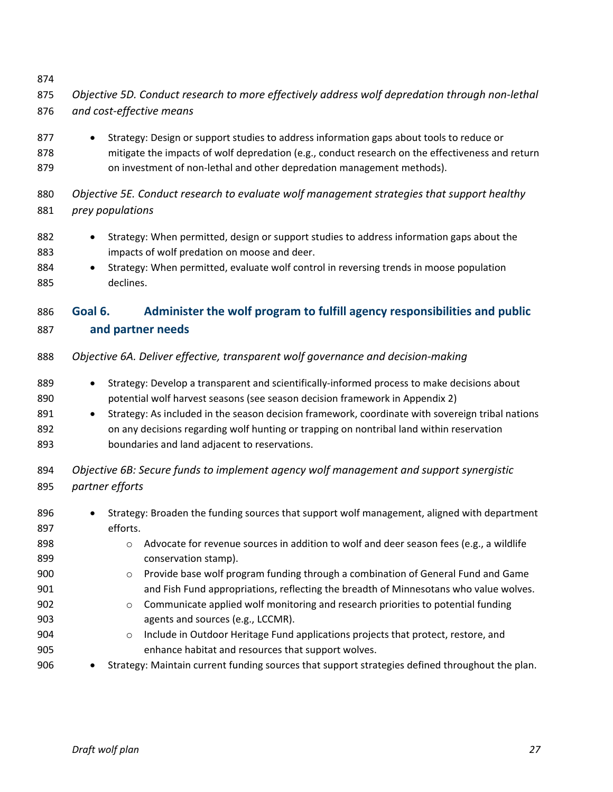<span id="page-28-0"></span>

| 876                                                                       | and cost-effective means                                                                                                                                                                                                                                                                                                                                                                                                                                                                                                                                                                                                                                                                                                                                                                                                                |
|---------------------------------------------------------------------------|-----------------------------------------------------------------------------------------------------------------------------------------------------------------------------------------------------------------------------------------------------------------------------------------------------------------------------------------------------------------------------------------------------------------------------------------------------------------------------------------------------------------------------------------------------------------------------------------------------------------------------------------------------------------------------------------------------------------------------------------------------------------------------------------------------------------------------------------|
| 877<br>878<br>879                                                         | Strategy: Design or support studies to address information gaps about tools to reduce or<br>$\bullet$<br>mitigate the impacts of wolf depredation (e.g., conduct research on the effectiveness and return<br>on investment of non-lethal and other depredation management methods).                                                                                                                                                                                                                                                                                                                                                                                                                                                                                                                                                     |
| 880<br>881                                                                | Objective 5E. Conduct research to evaluate wolf management strategies that support healthy<br>prey populations                                                                                                                                                                                                                                                                                                                                                                                                                                                                                                                                                                                                                                                                                                                          |
| 882<br>883<br>884<br>885                                                  | Strategy: When permitted, design or support studies to address information gaps about the<br>$\bullet$<br>impacts of wolf predation on moose and deer.<br>Strategy: When permitted, evaluate wolf control in reversing trends in moose population<br>$\bullet$<br>declines.                                                                                                                                                                                                                                                                                                                                                                                                                                                                                                                                                             |
| 886<br>887                                                                | Administer the wolf program to fulfill agency responsibilities and public<br>Goal 6.<br>and partner needs                                                                                                                                                                                                                                                                                                                                                                                                                                                                                                                                                                                                                                                                                                                               |
| 888                                                                       | Objective 6A. Deliver effective, transparent wolf governance and decision-making                                                                                                                                                                                                                                                                                                                                                                                                                                                                                                                                                                                                                                                                                                                                                        |
| 889<br>890<br>891<br>892<br>893                                           | Strategy: Develop a transparent and scientifically-informed process to make decisions about<br>$\bullet$<br>potential wolf harvest seasons (see season decision framework in Appendix 2)<br>Strategy: As included in the season decision framework, coordinate with sovereign tribal nations<br>$\bullet$<br>on any decisions regarding wolf hunting or trapping on nontribal land within reservation<br>boundaries and land adjacent to reservations.                                                                                                                                                                                                                                                                                                                                                                                  |
| 894<br>895                                                                | Objective 6B: Secure funds to implement agency wolf management and support synergistic<br>partner efforts                                                                                                                                                                                                                                                                                                                                                                                                                                                                                                                                                                                                                                                                                                                               |
| 896<br>897<br>898<br>899<br>900<br>901<br>902<br>903<br>904<br>905<br>906 | Strategy: Broaden the funding sources that support wolf management, aligned with department<br>$\bullet$<br>efforts.<br>Advocate for revenue sources in addition to wolf and deer season fees (e.g., a wildlife<br>$\circ$<br>conservation stamp).<br>Provide base wolf program funding through a combination of General Fund and Game<br>$\circ$<br>and Fish Fund appropriations, reflecting the breadth of Minnesotans who value wolves.<br>Communicate applied wolf monitoring and research priorities to potential funding<br>$\circ$<br>agents and sources (e.g., LCCMR).<br>Include in Outdoor Heritage Fund applications projects that protect, restore, and<br>$\circ$<br>enhance habitat and resources that support wolves.<br>Strategy: Maintain current funding sources that support strategies defined throughout the plan. |
|                                                                           |                                                                                                                                                                                                                                                                                                                                                                                                                                                                                                                                                                                                                                                                                                                                                                                                                                         |

*Objective 5D. Conduct research to more effectively address wolf depredation through non-lethal*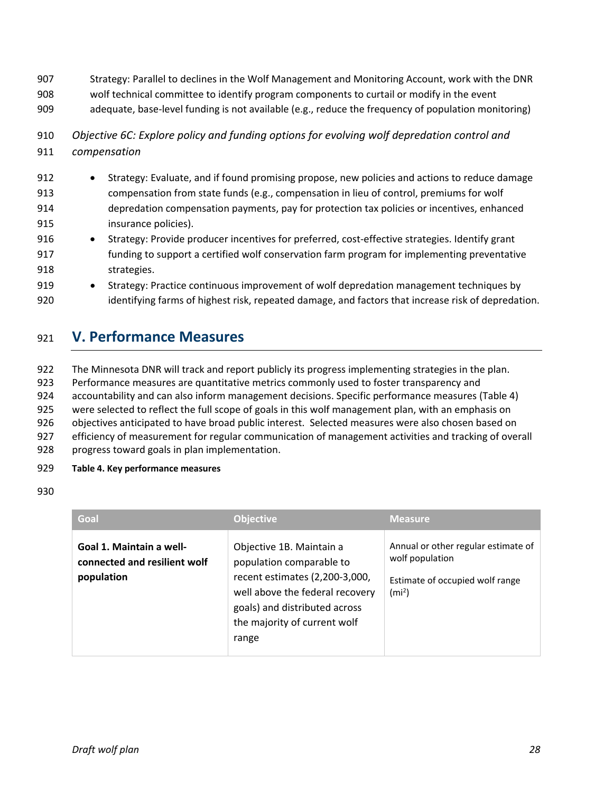- 907 Strategy: Parallel to declines in the Wolf Management and Monitoring Account, work with the DNR
- 908 wolf technical committee to identify program components to curtail or modify in the event
- 909 adequate, base-level funding is not available (e.g., reduce the frequency of population monitoring)
- 910 *Objective 6C: Explore policy and funding options for evolving wolf depredation control and*  911 *compensation*
- 912 Strategy: Evaluate, and if found promising propose, new policies and actions to reduce damage 913 compensation from state funds (e.g., compensation in lieu of control, premiums for wolf 914 depredation compensation payments, pay for protection tax policies or incentives, enhanced 915 insurance policies).
- 916 Strategy: Provide producer incentives for preferred, cost-effective strategies. Identify grant 917 funding to support a certified wolf conservation farm program for implementing preventative 918 strategies.
- 919 Strategy: Practice continuous improvement of wolf depredation management techniques by 920 identifying farms of highest risk, repeated damage, and factors that increase risk of depredation.

# <span id="page-29-0"></span><sup>921</sup> **V. Performance Measures**

 The Minnesota DNR will track and report publicly its progress implementing strategies in the plan. Performance measures are quantitative metrics commonly used to foster transparency and accountability and can also inform management decisions. Specific performance measures (Table 4) were selected to reflect the full scope of goals in this wolf management plan, with an emphasis on objectives anticipated to have broad public interest. Selected measures were also chosen based on efficiency of measurement for regular communication of management activities and tracking of overall

928 progress toward goals in plan implementation.

#### 929 **Table 4. Key performance measures**

#### 930

| Goal                                                                   | <b>Objective</b>                                                                                                                                                                                    | <b>Measure</b>                                                                                                 |
|------------------------------------------------------------------------|-----------------------------------------------------------------------------------------------------------------------------------------------------------------------------------------------------|----------------------------------------------------------------------------------------------------------------|
| Goal 1. Maintain a well-<br>connected and resilient wolf<br>population | Objective 1B. Maintain a<br>population comparable to<br>recent estimates (2,200-3,000,<br>well above the federal recovery<br>goals) and distributed across<br>the majority of current wolf<br>range | Annual or other regular estimate of<br>wolf population<br>Estimate of occupied wolf range<br>(m <sup>2</sup> ) |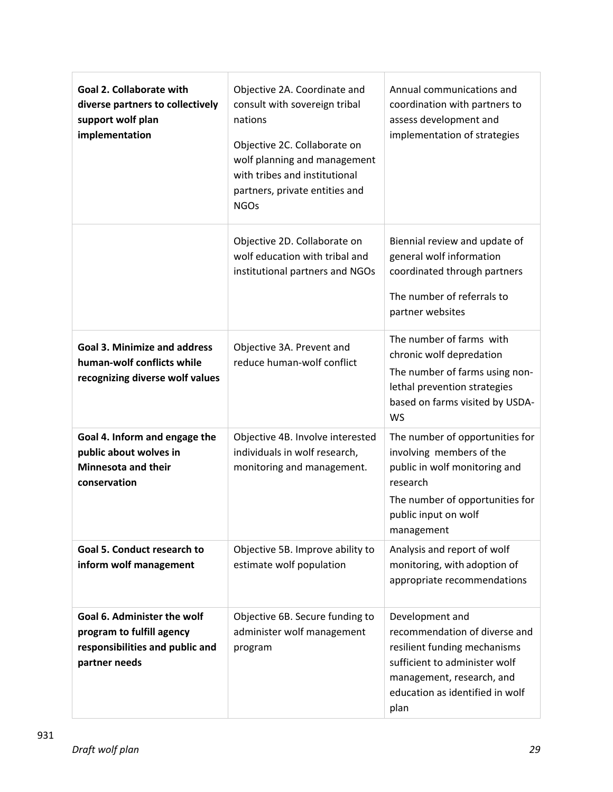| <b>Goal 2. Collaborate with</b><br>diverse partners to collectively<br>support wolf plan<br>implementation   | Objective 2A. Coordinate and<br>consult with sovereign tribal<br>nations<br>Objective 2C. Collaborate on<br>wolf planning and management<br>with tribes and institutional<br>partners, private entities and<br><b>NGOs</b> | Annual communications and<br>coordination with partners to<br>assess development and<br>implementation of strategies                                                                      |
|--------------------------------------------------------------------------------------------------------------|----------------------------------------------------------------------------------------------------------------------------------------------------------------------------------------------------------------------------|-------------------------------------------------------------------------------------------------------------------------------------------------------------------------------------------|
|                                                                                                              | Objective 2D. Collaborate on<br>wolf education with tribal and<br>institutional partners and NGOs                                                                                                                          | Biennial review and update of<br>general wolf information<br>coordinated through partners<br>The number of referrals to<br>partner websites                                               |
| <b>Goal 3. Minimize and address</b><br>human-wolf conflicts while<br>recognizing diverse wolf values         | Objective 3A. Prevent and<br>reduce human-wolf conflict                                                                                                                                                                    | The number of farms with<br>chronic wolf depredation<br>The number of farms using non-<br>lethal prevention strategies<br>based on farms visited by USDA-<br>WS                           |
| Goal 4. Inform and engage the<br>public about wolves in<br><b>Minnesota and their</b><br>conservation        | Objective 4B. Involve interested<br>individuals in wolf research,<br>monitoring and management.                                                                                                                            | The number of opportunities for<br>involving members of the<br>public in wolf monitoring and<br>research<br>The number of opportunities for<br>public input on wolf<br>management         |
| Goal 5. Conduct research to<br>inform wolf management                                                        | Objective 5B. Improve ability to<br>estimate wolf population                                                                                                                                                               | Analysis and report of wolf<br>monitoring, with adoption of<br>appropriate recommendations                                                                                                |
| Goal 6. Administer the wolf<br>program to fulfill agency<br>responsibilities and public and<br>partner needs | Objective 6B. Secure funding to<br>administer wolf management<br>program                                                                                                                                                   | Development and<br>recommendation of diverse and<br>resilient funding mechanisms<br>sufficient to administer wolf<br>management, research, and<br>education as identified in wolf<br>plan |

931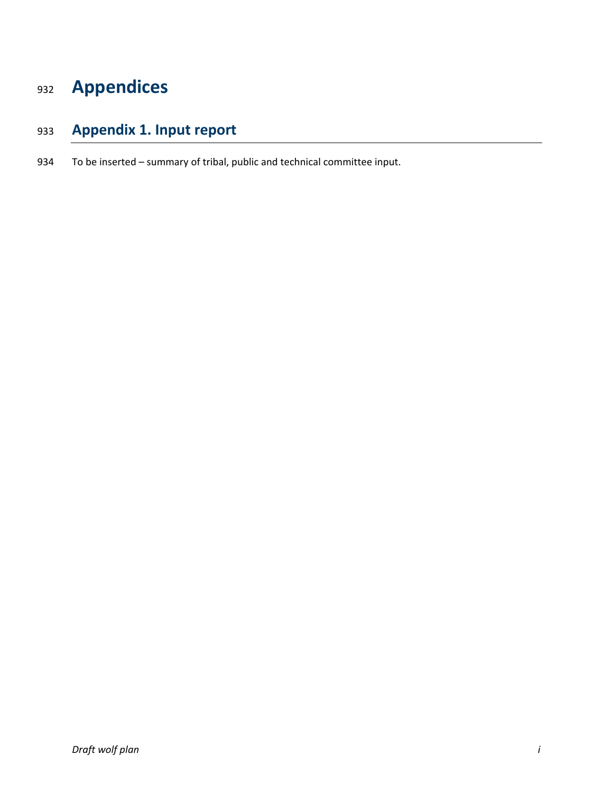# <span id="page-31-0"></span>**Appendices**

# <span id="page-31-1"></span>**Appendix 1. Input report**

To be inserted – summary of tribal, public and technical committee input.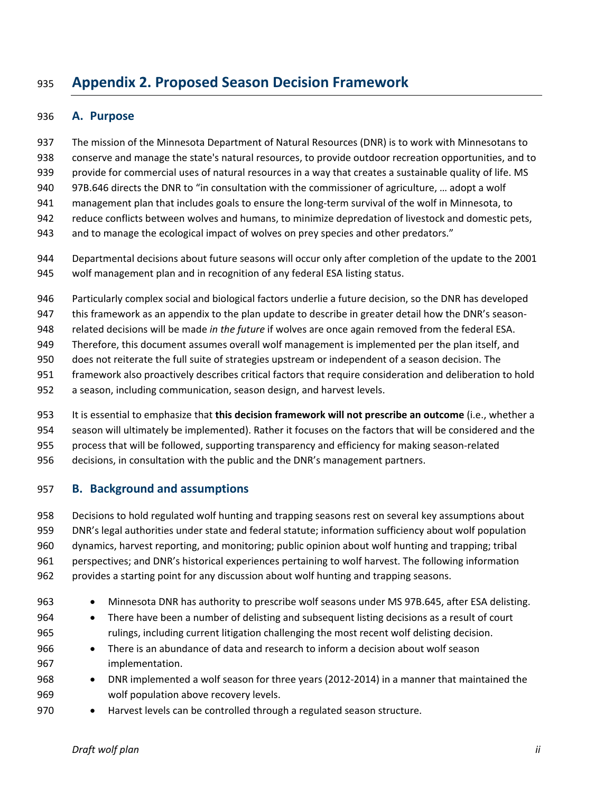# <span id="page-32-0"></span>**Appendix 2. Proposed Season Decision Framework**

#### <span id="page-32-1"></span>**A. Purpose**

 The mission of the Minnesota Department of Natural Resources (DNR) is to work with Minnesotans to conserve and manage the state's natural resources, to provide outdoor recreation opportunities, and to provide for commercial uses of natural resources in a way that creates a sustainable quality of life. MS 97B.646 directs the DNR to "in consultation with the commissioner of agriculture, … adopt a wolf management plan that includes goals to ensure the long-term survival of the wolf in Minnesota, to reduce conflicts between wolves and humans, to minimize depredation of livestock and domestic pets, and to manage the ecological impact of wolves on prey species and other predators."

 Departmental decisions about future seasons will occur only after completion of the update to the 2001 wolf management plan and in recognition of any federal ESA listing status.

- Particularly complex social and biological factors underlie a future decision, so the DNR has developed
- this framework as an appendix to the plan update to describe in greater detail how the DNR's season-
- related decisions will be made *in the future* if wolves are once again removed from the federal ESA.
- Therefore, this document assumes overall wolf management is implemented per the plan itself, and
- does not reiterate the full suite of strategies upstream or independent of a season decision. The
- framework also proactively describes critical factors that require consideration and deliberation to hold
- a season, including communication, season design, and harvest levels.
- It is essential to emphasize that **this decision framework will not prescribe an outcome** (i.e., whether a
- season will ultimately be implemented). Rather it focuses on the factors that will be considered and the
- process that will be followed, supporting transparency and efficiency for making season-related
- decisions, in consultation with the public and the DNR's management partners.

#### <span id="page-32-2"></span>**B. Background and assumptions**

 Decisions to hold regulated wolf hunting and trapping seasons rest on several key assumptions about DNR's legal authorities under state and federal statute; information sufficiency about wolf population dynamics, harvest reporting, and monitoring; public opinion about wolf hunting and trapping; tribal perspectives; and DNR's historical experiences pertaining to wolf harvest. The following information provides a starting point for any discussion about wolf hunting and trapping seasons.

- Minnesota DNR has authority to prescribe wolf seasons under MS 97B.645, after ESA delisting. • There have been a number of delisting and subsequent listing decisions as a result of court 965 rulings, including current litigation challenging the most recent wolf delisting decision. • There is an abundance of data and research to inform a decision about wolf season implementation.
- DNR implemented a wolf season for three years (2012-2014) in a manner that maintained the wolf population above recovery levels.
- Harvest levels can be controlled through a regulated season structure.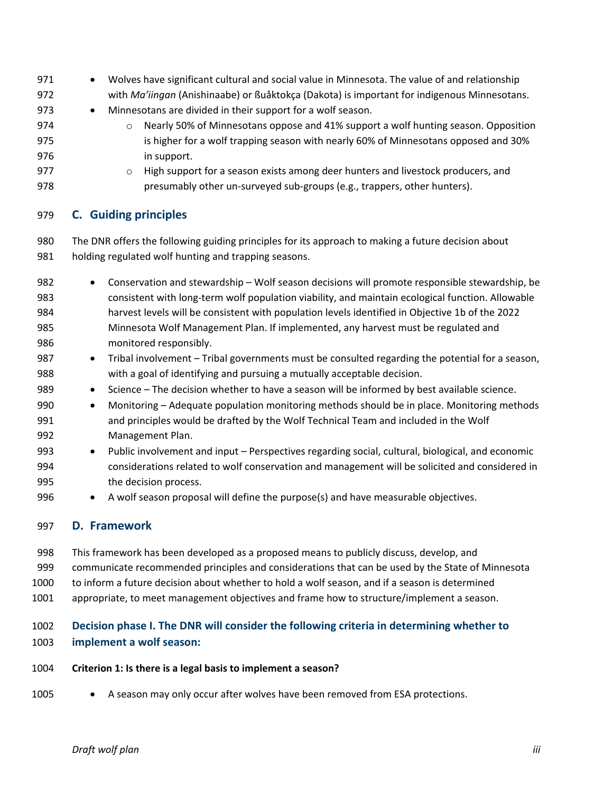971 • Wolves have significant cultural and social value in Minnesota. The value of and relationship with *Ma'iingan* (Anishinaabe) or ßuåktokça (Dakota) is important for indigenous Minnesotans. 973 • Minnesotans are divided in their support for a wolf season. o Nearly 50% of Minnesotans oppose and 41% support a wolf hunting season. Opposition is higher for a wolf trapping season with nearly 60% of Minnesotans opposed and 30% in support. o High support for a season exists among deer hunters and livestock producers, and presumably other un-surveyed sub-groups (e.g., trappers, other hunters).

#### <span id="page-33-0"></span>**C. Guiding principles**

 The DNR offers the following guiding principles for its approach to making a future decision about holding regulated wolf hunting and trapping seasons.

- Conservation and stewardship Wolf season decisions will promote responsible stewardship, be consistent with long-term wolf population viability, and maintain ecological function. Allowable harvest levels will be consistent with population levels identified in Objective 1b of the 2022 Minnesota Wolf Management Plan. If implemented, any harvest must be regulated and monitored responsibly.
- Tribal involvement Tribal governments must be consulted regarding the potential for a season, with a goal of identifying and pursuing a mutually acceptable decision.
- 989 Science The decision whether to have a season will be informed by best available science.
- Monitoring Adequate population monitoring methods should be in place. Monitoring methods and principles would be drafted by the Wolf Technical Team and included in the Wolf Management Plan.
- Public involvement and input Perspectives regarding social, cultural, biological, and economic considerations related to wolf conservation and management will be solicited and considered in the decision process.
- A wolf season proposal will define the purpose(s) and have measurable objectives.

#### <span id="page-33-1"></span>**D. Framework**

- This framework has been developed as a proposed means to publicly discuss, develop, and
- communicate recommended principles and considerations that can be used by the State of Minnesota
- to inform a future decision about whether to hold a wolf season, and if a season is determined
- appropriate, to meet management objectives and frame how to structure/implement a season.

# **Decision phase I. The DNR will consider the following criteria in determining whether to**

- **implement a wolf season:**
- **Criterion 1: Is there is a legal basis to implement a season?**
- 1005 A season may only occur after wolves have been removed from ESA protections.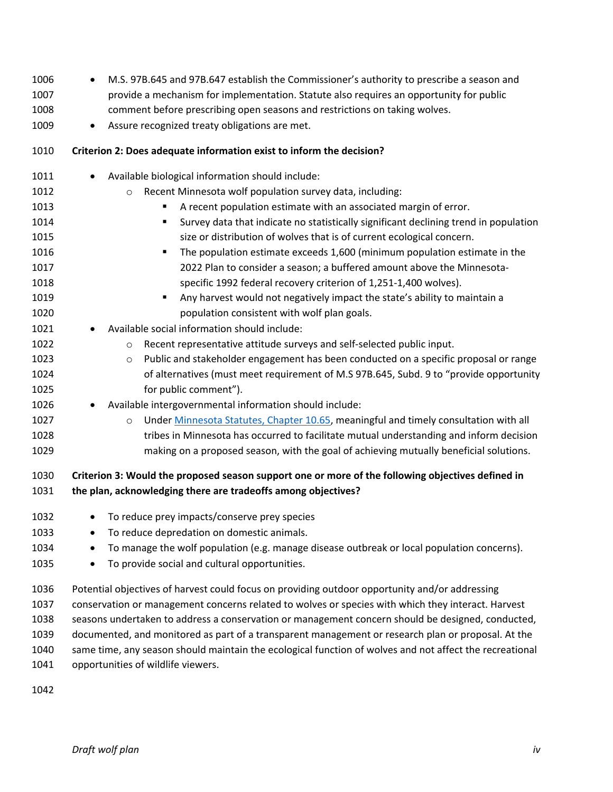| 1006 | M.S. 97B.645 and 97B.647 establish the Commissioner's authority to prescribe a season and<br>$\bullet$  |
|------|---------------------------------------------------------------------------------------------------------|
| 1007 | provide a mechanism for implementation. Statute also requires an opportunity for public                 |
| 1008 | comment before prescribing open seasons and restrictions on taking wolves.                              |
| 1009 | Assure recognized treaty obligations are met.<br>$\bullet$                                              |
| 1010 | Criterion 2: Does adequate information exist to inform the decision?                                    |
| 1011 | Available biological information should include:                                                        |
| 1012 | Recent Minnesota wolf population survey data, including:<br>$\circ$                                     |
| 1013 | A recent population estimate with an associated margin of error.<br>٠                                   |
| 1014 | Survey data that indicate no statistically significant declining trend in population<br>٠               |
| 1015 | size or distribution of wolves that is of current ecological concern.                                   |
| 1016 | The population estimate exceeds 1,600 (minimum population estimate in the<br>٠                          |
| 1017 | 2022 Plan to consider a season; a buffered amount above the Minnesota-                                  |
| 1018 | specific 1992 federal recovery criterion of 1,251-1,400 wolves).                                        |
| 1019 | Any harvest would not negatively impact the state's ability to maintain a<br>٠                          |
| 1020 | population consistent with wolf plan goals.                                                             |
| 1021 | Available social information should include:                                                            |
| 1022 | Recent representative attitude surveys and self-selected public input.<br>$\circ$                       |
| 1023 | Public and stakeholder engagement has been conducted on a specific proposal or range<br>$\circ$         |
| 1024 | of alternatives (must meet requirement of M.S 97B.645, Subd. 9 to "provide opportunity                  |
| 1025 | for public comment").                                                                                   |
| 1026 | Available intergovernmental information should include:                                                 |
| 1027 | Under Minnesota Statutes, Chapter 10.65, meaningful and timely consultation with all<br>$\circ$         |
| 1028 | tribes in Minnesota has occurred to facilitate mutual understanding and inform decision                 |
| 1029 | making on a proposed season, with the goal of achieving mutually beneficial solutions.                  |
| 1030 | Criterion 3: Would the proposed season support one or more of the following objectives defined in       |
| 1031 | the plan, acknowledging there are tradeoffs among objectives?                                           |
| 1032 | To reduce prey impacts/conserve prey species                                                            |
| 1033 | To reduce depredation on domestic animals.<br>٠                                                         |
| 1034 | To manage the wolf population (e.g. manage disease outbreak or local population concerns).              |
| 1035 | To provide social and cultural opportunities.<br>٠                                                      |
| 1036 | Potential objectives of harvest could focus on providing outdoor opportunity and/or addressing          |
| 1037 | conservation or management concerns related to wolves or species with which they interact. Harvest      |
| 1038 | seasons undertaken to address a conservation or management concern should be designed, conducted,       |
| 1039 | documented, and monitored as part of a transparent management or research plan or proposal. At the      |
| 1040 | same time, any season should maintain the ecological function of wolves and not affect the recreational |
| 1041 | opportunities of wildlife viewers.                                                                      |
|      |                                                                                                         |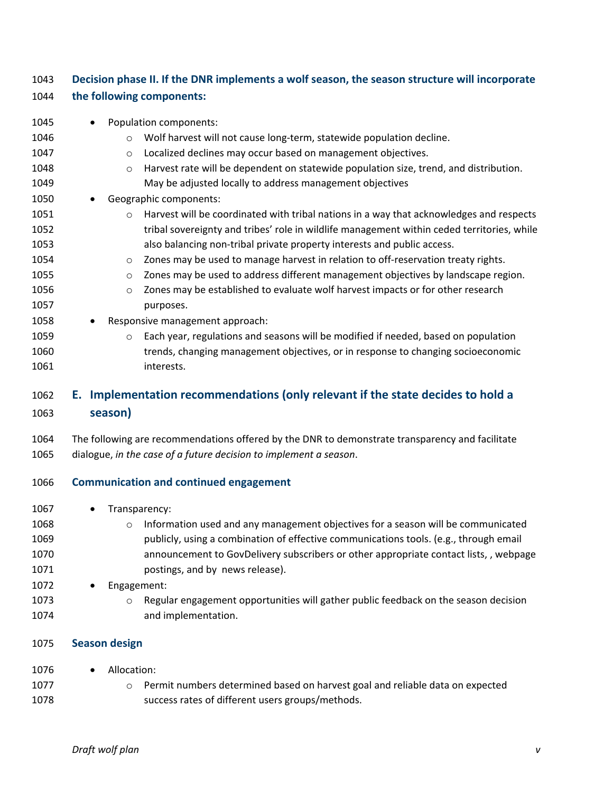<span id="page-35-0"></span>

| 1043 | Decision phase II. If the DNR implements a wolf season, the season structure will incorporate      |  |
|------|----------------------------------------------------------------------------------------------------|--|
| 1044 | the following components:                                                                          |  |
| 1045 | Population components:                                                                             |  |
| 1046 | Wolf harvest will not cause long-term, statewide population decline.<br>$\circ$                    |  |
| 1047 | Localized declines may occur based on management objectives.<br>$\circ$                            |  |
| 1048 | Harvest rate will be dependent on statewide population size, trend, and distribution.<br>$\circ$   |  |
| 1049 | May be adjusted locally to address management objectives                                           |  |
| 1050 | Geographic components:                                                                             |  |
| 1051 | Harvest will be coordinated with tribal nations in a way that acknowledges and respects<br>$\circ$ |  |
| 1052 | tribal sovereignty and tribes' role in wildlife management within ceded territories, while         |  |
| 1053 | also balancing non-tribal private property interests and public access.                            |  |
| 1054 | Zones may be used to manage harvest in relation to off-reservation treaty rights.<br>$\circ$       |  |
| 1055 | Zones may be used to address different management objectives by landscape region.<br>$\circ$       |  |
| 1056 | Zones may be established to evaluate wolf harvest impacts or for other research<br>$\circ$         |  |
| 1057 | purposes.                                                                                          |  |
| 1058 | Responsive management approach:                                                                    |  |
| 1059 | Each year, regulations and seasons will be modified if needed, based on population<br>$\circ$      |  |
| 1060 | trends, changing management objectives, or in response to changing socioeconomic                   |  |
| 1061 | interests.                                                                                         |  |
| 1062 | Implementation recommendations (only relevant if the state decides to hold a<br>Е.                 |  |
| 1063 | season)                                                                                            |  |
| 1064 | The following are recommendations offered by the DNR to demonstrate transparency and facilitate    |  |
| 1065 | dialogue, in the case of a future decision to implement a season.                                  |  |
| 1066 | <b>Communication and continued engagement</b>                                                      |  |
| 1067 | Transparency:                                                                                      |  |
| 1068 | Information used and any management objectives for a season will be communicated                   |  |
| 1069 | publicly, using a combination of effective communications tools. (e.g., through email              |  |
| 1070 | announcement to GovDelivery subscribers or other appropriate contact lists,, webpage               |  |
| 1071 | postings, and by news release).                                                                    |  |
| 1072 | Engagement:                                                                                        |  |
| 1073 | Regular engagement opportunities will gather public feedback on the season decision<br>$\circ$     |  |
| 1074 | and implementation.                                                                                |  |
| 1075 | <b>Season design</b>                                                                               |  |
| 1076 | Allocation:                                                                                        |  |
| 1077 | Permit numbers determined based on harvest goal and reliable data on expected<br>$\circ$           |  |
| 1078 | success rates of different users groups/methods.                                                   |  |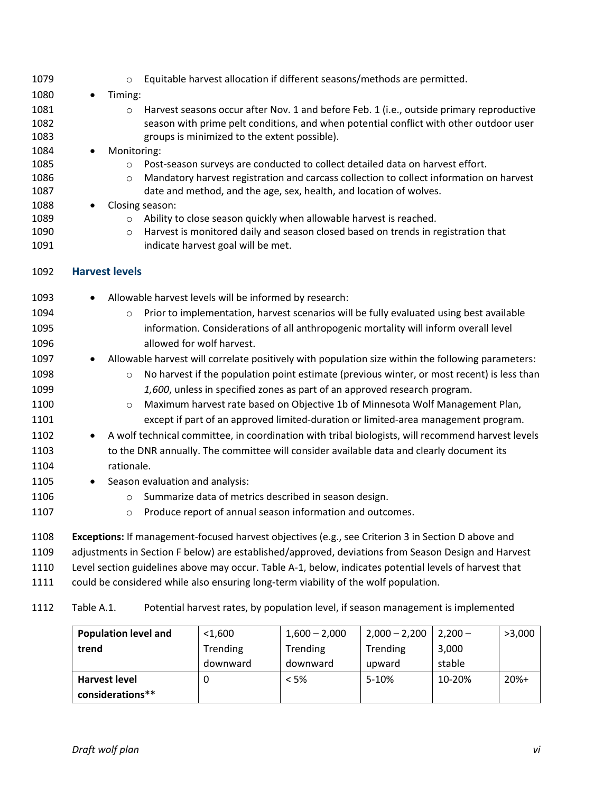| 1079 |           | Equitable harvest allocation if different seasons/methods are permitted.<br>$\circ$                   |
|------|-----------|-------------------------------------------------------------------------------------------------------|
| 1080 | ٠         | Timing:                                                                                               |
| 1081 |           | Harvest seasons occur after Nov. 1 and before Feb. 1 (i.e., outside primary reproductive<br>$\circ$   |
| 1082 |           | season with prime pelt conditions, and when potential conflict with other outdoor user                |
| 1083 |           | groups is minimized to the extent possible).                                                          |
| 1084 |           | Monitoring:                                                                                           |
| 1085 |           | Post-season surveys are conducted to collect detailed data on harvest effort.<br>$\circ$              |
| 1086 |           | Mandatory harvest registration and carcass collection to collect information on harvest<br>$\circ$    |
| 1087 |           | date and method, and the age, sex, health, and location of wolves.                                    |
| 1088 |           | Closing season:                                                                                       |
| 1089 |           | Ability to close season quickly when allowable harvest is reached.<br>$\circ$                         |
| 1090 |           | Harvest is monitored daily and season closed based on trends in registration that<br>$\circ$          |
| 1091 |           | indicate harvest goal will be met.                                                                    |
| 1092 |           | <b>Harvest levels</b>                                                                                 |
| 1093 | $\bullet$ | Allowable harvest levels will be informed by research:                                                |
| 1094 |           | Prior to implementation, harvest scenarios will be fully evaluated using best available<br>$\circ$    |
| 1095 |           | information. Considerations of all anthropogenic mortality will inform overall level                  |
| 1096 |           | allowed for wolf harvest.                                                                             |
| 1097 | $\bullet$ | Allowable harvest will correlate positively with population size within the following parameters:     |
| 1098 |           | No harvest if the population point estimate (previous winter, or most recent) is less than<br>$\circ$ |
| 1099 |           | 1,600, unless in specified zones as part of an approved research program.                             |
| 1100 |           | Maximum harvest rate based on Objective 1b of Minnesota Wolf Management Plan,<br>$\circ$              |
| 1101 |           | except if part of an approved limited-duration or limited-area management program.                    |
| 1102 |           | A wolf technical committee, in coordination with tribal biologists, will recommend harvest levels     |
| 1103 |           | to the DNR annually. The committee will consider available data and clearly document its              |
| 1104 |           | rationale.                                                                                            |
| 1105 |           |                                                                                                       |
|      |           | Season evaluation and analysis:                                                                       |
| 1106 |           | Summarize data of metrics described in season design.<br>$\circ$                                      |
| 1107 |           | Produce report of annual season information and outcomes.<br>$\circ$                                  |
| 1108 |           | Exceptions: If management-focused harvest objectives (e.g., see Criterion 3 in Section D above and    |
| 1109 |           | adjustments in Section F below) are established/approved, deviations from Season Design and Harvest   |

Level section guidelines above may occur. Table A-1, below, indicates potential levels of harvest that

could be considered while also ensuring long-term viability of the wolf population.

### Table A.1. Potential harvest rates, by population level, if season management is implemented

| <b>Population level and</b> | $<$ 1,600       | $1,600 - 2,000$ | $2,000 - 2,200$ | $2,200-$ | >3,000 |
|-----------------------------|-----------------|-----------------|-----------------|----------|--------|
| trend                       | <b>Trending</b> | Trending        | <b>Trending</b> | 3,000    |        |
|                             | downward        | downward        | upward          | stable   |        |
| <b>Harvest level</b>        |                 | $<$ 5%          | 5-10%           | 10-20%   | $20%+$ |
| considerations**            |                 |                 |                 |          |        |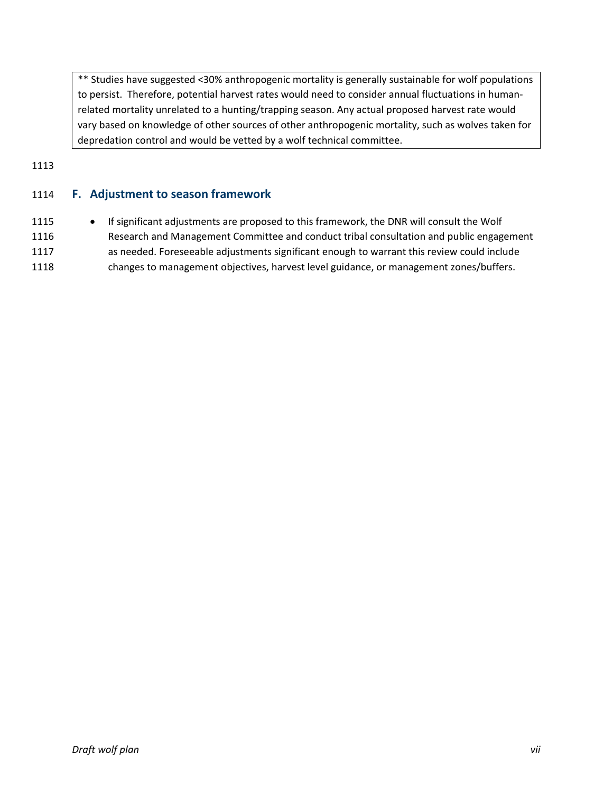\*\* Studies have suggested <30% anthropogenic mortality is generally sustainable for wolf populations to persist. Therefore, potential harvest rates would need to consider annual fluctuations in humanrelated mortality unrelated to a hunting/trapping season. Any actual proposed harvest rate would vary based on knowledge of other sources of other anthropogenic mortality, such as wolves taken for depredation control and would be vetted by a wolf technical committee.

#### 1113

#### <span id="page-37-0"></span>1114 **F. Adjustment to season framework**

 • If significant adjustments are proposed to this framework, the DNR will consult the Wolf Research and Management Committee and conduct tribal consultation and public engagement as needed. Foreseeable adjustments significant enough to warrant this review could include changes to management objectives, harvest level guidance, or management zones/buffers.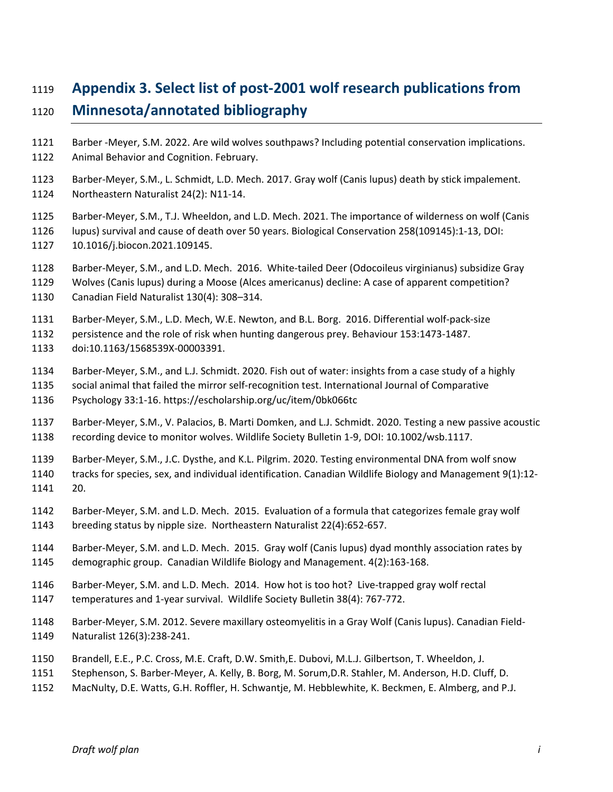# <span id="page-38-0"></span>**Appendix 3. Select list of post-2001 wolf research publications from**

# **Minnesota/annotated bibliography**

- Barber -Meyer, S.M. 2022. Are wild wolves southpaws? Including potential conservation implications.
- Animal Behavior and Cognition. February.
- Barber-Meyer, S.M., L. Schmidt, L.D. Mech. 2017. Gray wolf (Canis lupus) death by stick impalement. Northeastern Naturalist 24(2): N11-14.
- Barber-Meyer, S.M., T.J. Wheeldon, and L.D. Mech. 2021. The importance of wilderness on wolf (Canis lupus) survival and cause of death over 50 years. Biological Conservation 258(109145):1-13, DOI: 10.1016/j.biocon.2021.109145.
- Barber-Meyer, S.M., and L.D. Mech. 2016. White-tailed Deer (Odocoileus virginianus) subsidize Gray
- Wolves (Canis lupus) during a Moose (Alces americanus) decline: A case of apparent competition? Canadian Field Naturalist 130(4): 308–314.
- Barber-Meyer, S.M., L.D. Mech, W.E. Newton, and B.L. Borg. 2016. Differential wolf-pack-size
- persistence and the role of risk when hunting dangerous prey. Behaviour 153:1473-1487.
- doi:10.1163/1568539X-00003391.
- Barber-Meyer, S.M., and L.J. Schmidt. 2020. Fish out of water: insights from a case study of a highly
- social animal that failed the mirror self-recognition test. International Journal of Comparative Psychology 33:1-16. https://escholarship.org/uc/item/0bk066tc
- Barber-Meyer, S.M., V. Palacios, B. Marti Domken, and L.J. Schmidt. 2020. Testing a new passive acoustic recording device to monitor wolves. Wildlife Society Bulletin 1-9, DOI: 10.1002/wsb.1117.
- Barber-Meyer, S.M., J.C. Dysthe, and K.L. Pilgrim. 2020. Testing environmental DNA from wolf snow
- tracks for species, sex, and individual identification. Canadian Wildlife Biology and Management 9(1):12- 20.
- Barber-Meyer, S.M. and L.D. Mech. 2015. Evaluation of a formula that categorizes female gray wolf breeding status by nipple size. Northeastern Naturalist 22(4):652-657.
- Barber-Meyer, S.M. and L.D. Mech. 2015. Gray wolf (Canis lupus) dyad monthly association rates by demographic group. Canadian Wildlife Biology and Management. 4(2):163-168.
- Barber-Meyer, S.M. and L.D. Mech. 2014. How hot is too hot? Live-trapped gray wolf rectal
- temperatures and 1-year survival. Wildlife Society Bulletin 38(4): 767-772.
- Barber-Meyer, S.M. 2012. Severe maxillary osteomyelitis in a Gray Wolf (Canis lupus). Canadian Field-Naturalist 126(3):238-241.
- Brandell, E.E., P.C. Cross, M.E. Craft, D.W. Smith,E. Dubovi, M.L.J. Gilbertson, T. Wheeldon, J.
- Stephenson, S. Barber-Meyer, A. Kelly, B. Borg, M. Sorum,D.R. Stahler, M. Anderson, H.D. Cluff, D.
- MacNulty, D.E. Watts, G.H. Roffler, H. Schwantje, M. Hebblewhite, K. Beckmen, E. Almberg, and P.J.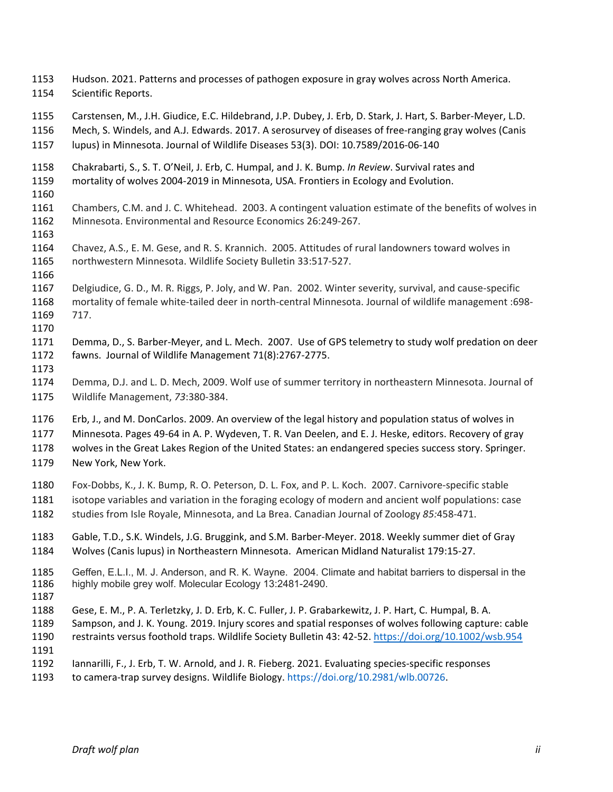- Hudson. 2021. Patterns and processes of pathogen exposure in gray wolves across North America. Scientific Reports.
- Carstensen, M., J.H. Giudice, E.C. Hildebrand, J.P. Dubey, J. Erb, D. Stark, J. Hart, S. Barber-Meyer, L.D.
- Mech, S. Windels, and A.J. Edwards. 2017. A serosurvey of diseases of free-ranging gray wolves (Canis
- lupus) in Minnesota. Journal of Wildlife Diseases 53(3). DOI: 10.7589/2016-06-140
- Chakrabarti, S., S. T. O'Neil, J. Erb, C. Humpal, and J. K. Bump. *In Review*. Survival rates and mortality of wolves 2004-2019 in Minnesota, USA. Frontiers in Ecology and Evolution.
- 
- Chambers, C.M. and J. C. Whitehead. 2003. A contingent valuation estimate of the benefits of wolves in Minnesota. Environmental and Resource Economics 26:249-267.
- 
- Chavez, A.S., E. M. Gese, and R. S. Krannich. 2005. Attitudes of rural landowners toward wolves in northwestern Minnesota. Wildlife Society Bulletin 33:517-527.
- 
- Delgiudice, G. D., M. R. Riggs, P. Joly, and W. Pan. 2002. Winter severity, survival, and cause-specific mortality of female white-tailed deer in north-central Minnesota. Journal of wildlife management :698- 717.
- 
- Demma, D., S. Barber-Meyer, and L. Mech. 2007. Use of GPS telemetry to study wolf predation on deer fawns. Journal of Wildlife Management 71(8):2767-2775.
- Demma, D.J. and L. D. Mech, 2009. Wolf use of summer territory in northeastern Minnesota. Journal of Wildlife Management, *73*:380-384.
- Erb, J., and M. DonCarlos. 2009. An overview of the legal history and population status of wolves in
- Minnesota. Pages 49-64 in A. P. Wydeven, T. R. Van Deelen, and E. J. Heske, editors. Recovery of gray wolves in the Great Lakes Region of the United States: an endangered species success story. Springer.
- New York, New York.
- Fox-Dobbs, K., J. K. Bump, R. O. Peterson, D. L. Fox, and P. L. Koch. 2007. Carnivore-specific stable isotope variables and variation in the foraging ecology of modern and ancient wolf populations: case studies from Isle Royale, Minnesota, and La Brea. Canadian Journal of Zoology *85:*458-471.
- Gable, T.D., S.K. Windels, J.G. Bruggink, and S.M. Barber-Meyer. 2018. Weekly summer diet of Gray Wolves (Canis lupus) in Northeastern Minnesota. American Midland Naturalist 179:15-27.
- 1185 Geffen, E.L.I., M. J. Anderson, and R. K. Wayne. 2004. Climate and habitat barriers to dispersal in the 1186 highly mobile grey wolf. Molecular Ecology 13:2481-2490. highly mobile grey wolf. Molecular Ecology 13:2481-2490.
- 
- Gese, E. M., P. A. Terletzky, J. D. Erb, K. C. Fuller, J. P. Grabarkewitz, J. P. Hart, C. Humpal, B. A.
- Sampson, and J. K. Young. 2019. Injury scores and spatial responses of wolves following capture: cable
- restraints versus foothold traps. Wildlife Society Bulletin 43: 42-52.<https://doi.org/10.1002/wsb.954>
- Iannarilli, F., J. Erb, T. W. Arnold, and J. R. Fieberg. 2021. Evaluating species-specific responses
- to camera-trap survey designs. Wildlife Biology. https://doi.org/10.2981/wlb.00726.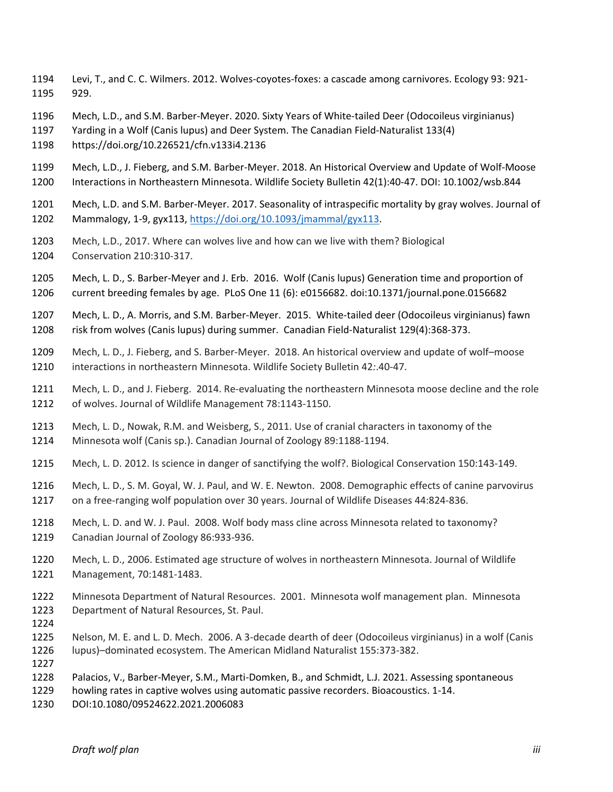- Levi, T., and C. C. Wilmers. 2012. Wolves-coyotes-foxes: a cascade among carnivores. Ecology 93: 921- 929.
- Mech, L.D., and S.M. Barber-Meyer. 2020. Sixty Years of White-tailed Deer (Odocoileus virginianus)
- Yarding in a Wolf (Canis lupus) and Deer System. The Canadian Field-Naturalist 133(4)
- https://doi.org/10.226521/cfn.v133i4.2136
- Mech, L.D., J. Fieberg, and S.M. Barber-Meyer. 2018. An Historical Overview and Update of Wolf-Moose Interactions in Northeastern Minnesota. Wildlife Society Bulletin 42(1):40-47. DOI: 10.1002/wsb.844
- Mech, L.D. and S.M. Barber-Meyer. 2017. Seasonality of intraspecific mortality by gray wolves. Journal of Mammalogy, 1-9, gyx113, [https://doi.org/10.1093/jmammal/gyx113.](https://doi.org/10.1093/jmammal/gyx113)
- Mech, L.D., 2017. Where can wolves live and how can we live with them? Biological Conservation 210:310-317.
- Mech, L. D., S. Barber-Meyer and J. Erb. 2016. Wolf (Canis lupus) Generation time and proportion of current breeding females by age. PLoS One 11 (6): e0156682. doi:10.1371/journal.pone.0156682
- Mech, L. D., A. Morris, and S.M. Barber-Meyer. 2015. White-tailed deer (Odocoileus virginianus) fawn risk from wolves (Canis lupus) during summer. Canadian Field-Naturalist 129(4):368-373.
- Mech, L. D., J. Fieberg, and S. Barber-Meyer. 2018. An historical overview and update of wolf–moose interactions in northeastern Minnesota. Wildlife Society Bulletin 42*:*.40-47.
- Mech, L. D., and J. Fieberg. 2014. Re-evaluating the northeastern Minnesota moose decline and the role of wolves. Journal of Wildlife Management 78:1143-1150.
- Mech, L. D., Nowak, R.M. and Weisberg, S., 2011. Use of cranial characters in taxonomy of the Minnesota wolf (Canis sp.). Canadian Journal of Zoology 89:1188-1194.
- Mech, L. D. 2012. Is science in danger of sanctifying the wolf?. Biological Conservation 150:143-149.
- Mech, L. D., S. M. Goyal, W. J. Paul, and W. E. Newton. 2008. Demographic effects of canine parvovirus on a free-ranging wolf population over 30 years. Journal of Wildlife Diseases 44:824-836.
- Mech, L. D. and W. J. Paul. 2008. Wolf body mass cline across Minnesota related to taxonomy? Canadian Journal of Zoology 86:933-936.
- Mech, L. D., 2006. Estimated age structure of wolves in northeastern Minnesota. Journal of Wildlife Management, 70:1481-1483.
- Minnesota Department of Natural Resources. 2001. Minnesota wolf management plan. Minnesota Department of Natural Resources, St. Paul.
- 
- Nelson, M. E. and L. D. Mech. 2006. A 3-decade dearth of deer (Odocoileus virginianus) in a wolf (Canis lupus)–dominated ecosystem. The American Midland Naturalist 155:373-382.
- Palacios, V., Barber-Meyer, S.M., Marti-Domken, B., and Schmidt, L.J. 2021. Assessing spontaneous
	- howling rates in captive wolves using automatic passive recorders. Bioacoustics. 1-14.
	- DOI:10.1080/09524622.2021.2006083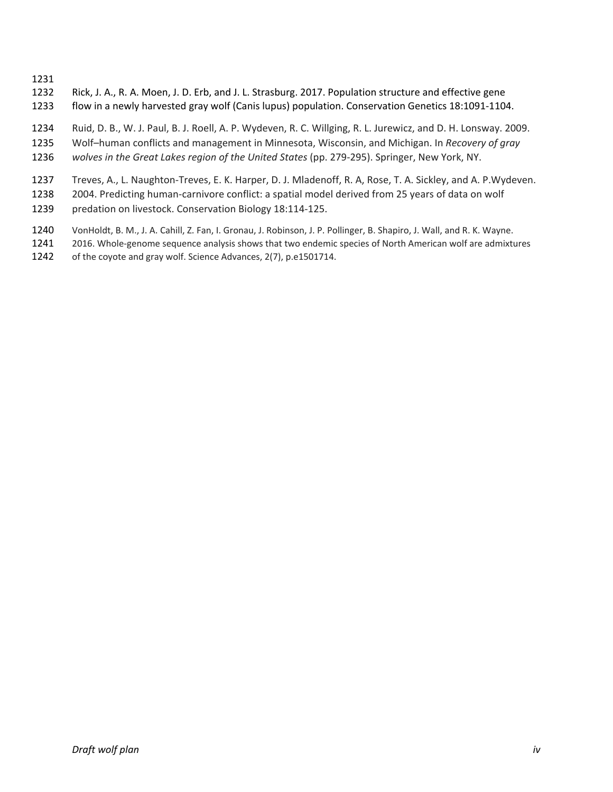- Rick, J. A., R. A. Moen, J. D. Erb, and J. L. Strasburg. 2017. Population structure and effective gene flow in a newly harvested gray wolf (Canis lupus) population. Conservation Genetics 18:1091-1104.
- Ruid, D. B., W. J. Paul, B. J. Roell, A. P. Wydeven, R. C. Willging, R. L. Jurewicz, and D. H. Lonsway. 2009.
- Wolf–human conflicts and management in Minnesota, Wisconsin, and Michigan. In *Recovery of gray*
- *wolves in the Great Lakes region of the United States* (pp. 279-295). Springer, New York, NY.
- Treves, A., L. Naughton-Treves, E. K. Harper, D. J. Mladenoff, R. A, Rose, T. A. Sickley, and A. P.Wydeven.
- 2004. Predicting human-carnivore conflict: a spatial model derived from 25 years of data on wolf
- predation on livestock. Conservation Biology 18:114-125.
- VonHoldt, B. M., J. A. Cahill, Z. Fan, I. Gronau, J. Robinson, J. P. Pollinger, B. Shapiro, J. Wall, and R. K. Wayne.
- 2016. Whole-genome sequence analysis shows that two endemic species of North American wolf are admixtures
- of the coyote and gray wolf. Science Advances, 2(7), p.e1501714.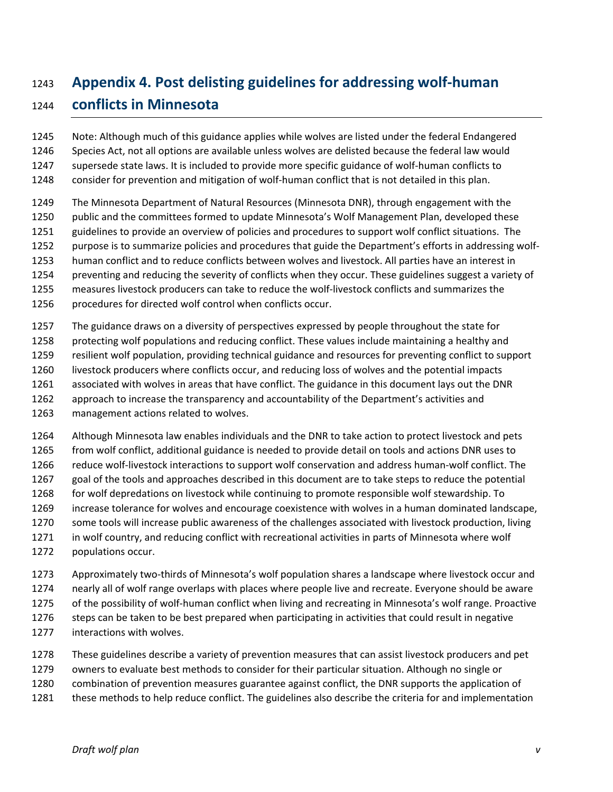# <span id="page-42-0"></span>**Appendix 4. Post delisting guidelines for addressing wolf-human**

# **conflicts in Minnesota**

 Note: Although much of this guidance applies while wolves are listed under the federal Endangered Species Act, not all options are available unless wolves are delisted because the federal law would supersede state laws. It is included to provide more specific guidance of wolf-human conflicts to

- consider for prevention and mitigation of wolf-human conflict that is not detailed in this plan.
- The Minnesota Department of Natural Resources (Minnesota DNR), through engagement with the
- public and the committees formed to update Minnesota's Wolf Management Plan, developed these
- guidelines to provide an overview of policies and procedures to support wolf conflict situations. The
- purpose is to summarize policies and procedures that guide the Department's efforts in addressing wolf-
- human conflict and to reduce conflicts between wolves and livestock. All parties have an interest in
- preventing and reducing the severity of conflicts when they occur. These guidelines suggest a variety of
- measures livestock producers can take to reduce the wolf-livestock conflicts and summarizes the
- procedures for directed wolf control when conflicts occur.
- The guidance draws on a diversity of perspectives expressed by people throughout the state for
- protecting wolf populations and reducing conflict. These values include maintaining a healthy and
- resilient wolf population, providing technical guidance and resources for preventing conflict to support
- livestock producers where conflicts occur, and reducing loss of wolves and the potential impacts
- associated with wolves in areas that have conflict. The guidance in this document lays out the DNR
- approach to increase the transparency and accountability of the Department's activities and
- management actions related to wolves.
- Although Minnesota law enables individuals and the DNR to take action to protect livestock and pets from wolf conflict, additional guidance is needed to provide detail on tools and actions DNR uses to
- reduce wolf-livestock interactions to support wolf conservation and address human-wolf conflict. The
- goal of the tools and approaches described in this document are to take steps to reduce the potential
- for wolf depredations on livestock while continuing to promote responsible wolf stewardship. To
- increase tolerance for wolves and encourage coexistence with wolves in a human dominated landscape,
- some tools will increase public awareness of the challenges associated with livestock production, living in wolf country, and reducing conflict with recreational activities in parts of Minnesota where wolf
- populations occur.
- Approximately two-thirds of Minnesota's wolf population shares a landscape where livestock occur and nearly all of wolf range overlaps with places where people live and recreate. Everyone should be aware of the possibility of wolf-human conflict when living and recreating in Minnesota's wolf range. Proactive 1276 steps can be taken to be best prepared when participating in activities that could result in negative
- interactions with wolves.
- These guidelines describe a variety of prevention measures that can assist livestock producers and pet
- owners to evaluate best methods to consider for their particular situation. Although no single or
- combination of prevention measures guarantee against conflict, the DNR supports the application of
- these methods to help reduce conflict. The guidelines also describe the criteria for and implementation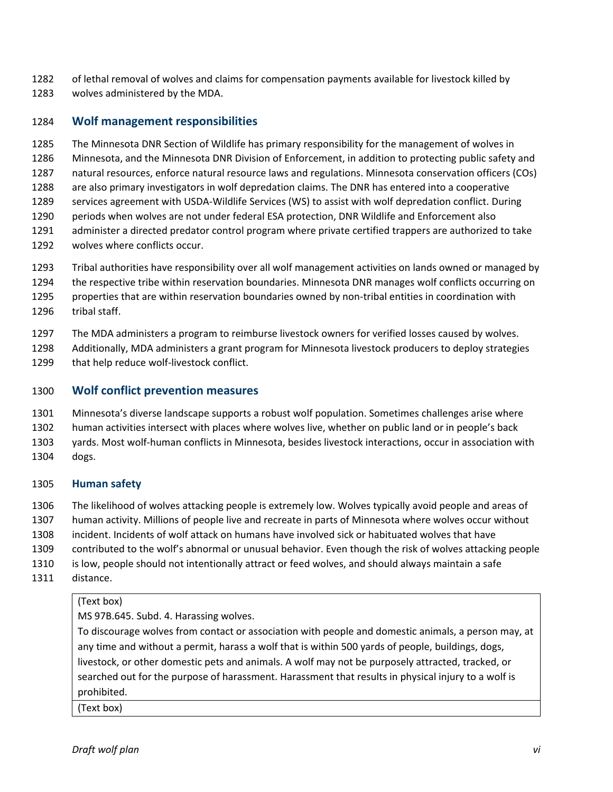- of lethal removal of wolves and claims for compensation payments available for livestock killed by
- wolves administered by the MDA.

#### <span id="page-43-0"></span>**Wolf management responsibilities**

The Minnesota DNR Section of Wildlife has primary responsibility for the management of wolves in

Minnesota, and the Minnesota DNR Division of Enforcement, in addition to protecting public safety and

natural resources, enforce natural resource laws and regulations. Minnesota conservation officers (COs)

 are also primary investigators in wolf depredation claims. The DNR has entered into a cooperative services agreement with USDA-Wildlife Services (WS) to assist with wolf depredation conflict. During

periods when wolves are not under federal ESA protection, DNR Wildlife and Enforcement also

- administer a directed predator control program where private certified trappers are authorized to take
- wolves where conflicts occur.

Tribal authorities have responsibility over all wolf management activities on lands owned or managed by

the respective tribe within reservation boundaries. Minnesota DNR manages wolf conflicts occurring on

properties that are within reservation boundaries owned by non-tribal entities in coordination with

tribal staff.

The MDA administers a program to reimburse livestock owners for verified losses caused by wolves.

 Additionally, MDA administers a grant program for Minnesota livestock producers to deploy strategies that help reduce wolf-livestock conflict.

#### <span id="page-43-1"></span>**Wolf conflict prevention measures**

Minnesota's diverse landscape supports a robust wolf population. Sometimes challenges arise where

human activities intersect with places where wolves live, whether on public land or in people's back

yards. Most wolf-human conflicts in Minnesota, besides livestock interactions, occur in association with

dogs.

### **Human safety**

 The likelihood of wolves attacking people is extremely low. Wolves typically avoid people and areas of human activity. Millions of people live and recreate in parts of Minnesota where wolves occur without

incident. Incidents of wolf attack on humans have involved sick or habituated wolves that have

contributed to the wolf's abnormal or unusual behavior. Even though the risk of wolves attacking people

is low, people should not intentionally attract or feed wolves, and should always maintain a safe

distance.

### (Text box)

MS 97B.645. Subd. 4. Harassing wolves.

To discourage wolves from contact or association with people and domestic animals, a person may, at any time and without a permit, harass a wolf that is within 500 yards of people, buildings, dogs, livestock, or other domestic pets and animals. A wolf may not be purposely attracted, tracked, or searched out for the purpose of harassment. Harassment that results in physical injury to a wolf is prohibited.

(Text box)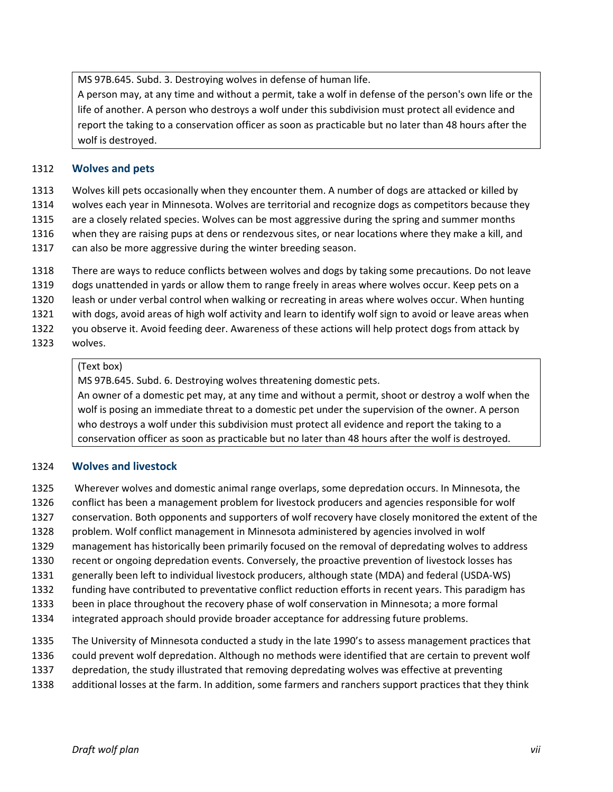MS 97B.645. Subd. 3. Destroying wolves in defense of human life.

A person may, at any time and without a permit, take a wolf in defense of the person's own life or the life of another. A person who destroys a wolf under this subdivision must protect all evidence and report the taking to a conservation officer as soon as practicable but no later than 48 hours after the wolf is destroyed.

#### **Wolves and pets**

- Wolves kill pets occasionally when they encounter them. A number of dogs are attacked or killed by
- wolves each year in Minnesota. Wolves are territorial and recognize dogs as competitors because they
- are a closely related species. Wolves can be most aggressive during the spring and summer months
- when they are raising pups at dens or rendezvous sites, or near locations where they make a kill, and
- 1317 can also be more aggressive during the winter breeding season.
- There are ways to reduce conflicts between wolves and dogs by taking some precautions. Do not leave
- dogs unattended in yards or allow them to range freely in areas where wolves occur. Keep pets on a
- leash or under verbal control when walking or recreating in areas where wolves occur. When hunting
- with dogs, avoid areas of high wolf activity and learn to identify wolf sign to avoid or leave areas when
- you observe it. Avoid feeding deer. Awareness of these actions will help protect dogs from attack by
- wolves.

#### (Text box)

MS 97B.645. Subd. 6. Destroying wolves threatening domestic pets.

An owner of a domestic pet may, at any time and without a permit, shoot or destroy a wolf when the wolf is posing an immediate threat to a domestic pet under the supervision of the owner. A person who destroys a wolf under this subdivision must protect all evidence and report the taking to a conservation officer as soon as practicable but no later than 48 hours after the wolf is destroyed.

#### **Wolves and livestock**

- Wherever wolves and domestic animal range overlaps, some depredation occurs. In Minnesota, the
- conflict has been a management problem for livestock producers and agencies responsible for wolf
- conservation. Both opponents and supporters of wolf recovery have closely monitored the extent of the
- problem. Wolf conflict management in Minnesota administered by agencies involved in wolf
- management has historically been primarily focused on the removal of depredating wolves to address
- recent or ongoing depredation events. Conversely, the proactive prevention of livestock losses has
- generally been left to individual livestock producers, although state (MDA) and federal (USDA-WS)
- funding have contributed to preventative conflict reduction efforts in recent years. This paradigm has
- been in place throughout the recovery phase of wolf conservation in Minnesota; a more formal
- integrated approach should provide broader acceptance for addressing future problems.
- The University of Minnesota conducted a study in the late 1990's to assess management practices that
- could prevent wolf depredation. Although no methods were identified that are certain to prevent wolf
- depredation, the study illustrated that removing depredating wolves was effective at preventing
- additional losses at the farm. In addition, some farmers and ranchers support practices that they think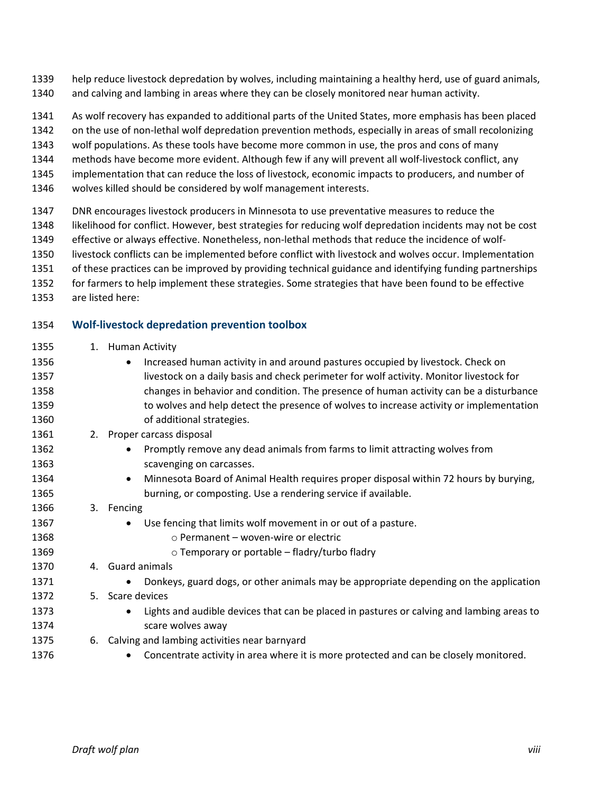help reduce livestock depredation by wolves, including maintaining a healthy herd, use of guard animals, and calving and lambing in areas where they can be closely monitored near human activity.

As wolf recovery has expanded to additional parts of the United States, more emphasis has been placed

on the use of non-lethal wolf depredation prevention methods, especially in areas of small recolonizing

wolf populations. As these tools have become more common in use, the pros and cons of many

methods have become more evident. Although few if any will prevent all wolf-livestock conflict, any

implementation that can reduce the loss of livestock, economic impacts to producers, and number of

wolves killed should be considered by wolf management interests.

DNR encourages livestock producers in Minnesota to use preventative measures to reduce the

likelihood for conflict. However, best strategies for reducing wolf depredation incidents may not be cost

effective or always effective. Nonetheless, non-lethal methods that reduce the incidence of wolf-

livestock conflicts can be implemented before conflict with livestock and wolves occur. Implementation

- of these practices can be improved by providing technical guidance and identifying funding partnerships
- for farmers to help implement these strategies. Some strategies that have been found to be effective
- are listed here:

### **Wolf-livestock depredation prevention toolbox**

1355 1. Human Activity

| 1356 |    | Increased human activity in and around pastures occupied by livestock. Check on<br>$\bullet$           |
|------|----|--------------------------------------------------------------------------------------------------------|
| 1357 |    | livestock on a daily basis and check perimeter for wolf activity. Monitor livestock for                |
| 1358 |    | changes in behavior and condition. The presence of human activity can be a disturbance                 |
| 1359 |    | to wolves and help detect the presence of wolves to increase activity or implementation                |
| 1360 |    | of additional strategies.                                                                              |
| 1361 | 2. | Proper carcass disposal                                                                                |
| 1362 |    | Promptly remove any dead animals from farms to limit attracting wolves from<br>$\bullet$               |
| 1363 |    | scavenging on carcasses.                                                                               |
| 1364 |    | Minnesota Board of Animal Health requires proper disposal within 72 hours by burying,<br>$\bullet$     |
| 1365 |    | burning, or composting. Use a rendering service if available.                                          |
| 1366 |    | 3. Fencing                                                                                             |
| 1367 |    | Use fencing that limits wolf movement in or out of a pasture.                                          |
| 1368 |    | $\circ$ Permanent – woven-wire or electric                                                             |
| 1369 |    | $\circ$ Temporary or portable – fladry/turbo fladry                                                    |
| 1370 |    | 4. Guard animals                                                                                       |
| 1371 |    | Donkeys, guard dogs, or other animals may be appropriate depending on the application                  |
| 1372 | 5. | Scare devices                                                                                          |
| 1373 |    | Lights and audible devices that can be placed in pastures or calving and lambing areas to<br>$\bullet$ |
| 1374 |    | scare wolves away                                                                                      |
| 1375 | 6. | Calving and lambing activities near barnyard                                                           |
| 1376 |    | Concentrate activity in area where it is more protected and can be closely monitored.                  |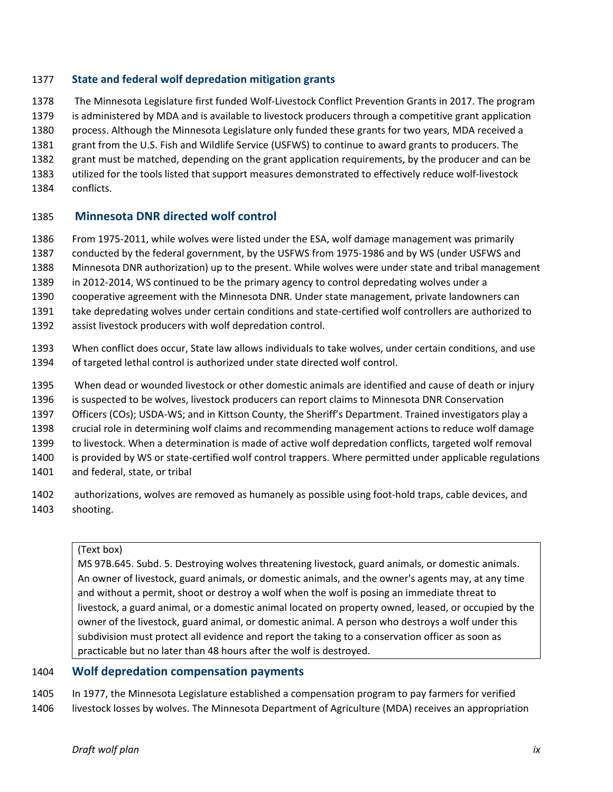#### **State and federal wolf depredation mitigation grants**

- The Minnesota Legislature first funded Wolf-Livestock Conflict Prevention Grants in 2017. The program is administered by MDA and is available to livestock producers through a competitive grant application
- process. Although the Minnesota Legislature only funded these grants for two years, MDA received a
- grant from the U.S. Fish and Wildlife Service (USFWS) to continue to award grants to producers. The
- grant must be matched, depending on the grant application requirements, by the producer and can be
- utilized for the tools listed that support measures demonstrated to effectively reduce wolf-livestock
- conflicts.

# <span id="page-46-0"></span>**Minnesota DNR directed wolf control**

- From 1975-2011, while wolves were listed under the ESA, wolf damage management was primarily
- conducted by the federal government, by the USFWS from 1975-1986 and by WS (under USFWS and
- Minnesota DNR authorization) up to the present. While wolves were under state and tribal management
- in 2012-2014, WS continued to be the primary agency to control depredating wolves under a
- cooperative agreement with the Minnesota DNR. Under state management, private landowners can
- take depredating wolves under certain conditions and state-certified wolf controllers are authorized to
- assist livestock producers with wolf depredation control.
- When conflict does occur, State law allows individuals to take wolves, under certain conditions, and use of targeted lethal control is authorized under state directed wolf control.
- When dead or wounded livestock or other domestic animals are identified and cause of death or injury
- is suspected to be wolves, livestock producers can report claims to Minnesota DNR Conservation
- Officers (COs); USDA-WS; and in Kittson County, the Sheriff's Department. Trained investigators play a
- crucial role in determining wolf claims and recommending management actions to reduce wolf damage
- to livestock. When a determination is made of active wolf depredation conflicts, targeted wolf removal
- is provided by WS or state-certified wolf control trappers. Where permitted under applicable regulations
- and federal, state, or tribal
- authorizations, wolves are removed as humanely as possible using foot-hold traps, cable devices, and shooting.

### (Text box)

MS 97B.645. Subd. 5. Destroying wolves threatening livestock, guard animals, or domestic animals. An owner of livestock, guard animals, or domestic animals, and the owner's agents may, at any time and without a permit, shoot or destroy a wolf when the wolf is posing an immediate threat to livestock, a guard animal, or a domestic animal located on property owned, leased, or occupied by the owner of the livestock, guard animal, or domestic animal. A person who destroys a wolf under this subdivision must protect all evidence and report the taking to a conservation officer as soon as practicable but no later than 48 hours after the wolf is destroyed.

# <span id="page-46-1"></span>**Wolf depredation compensation payments**

 In 1977, the Minnesota Legislature established a compensation program to pay farmers for verified livestock losses by wolves. The Minnesota Department of Agriculture (MDA) receives an appropriation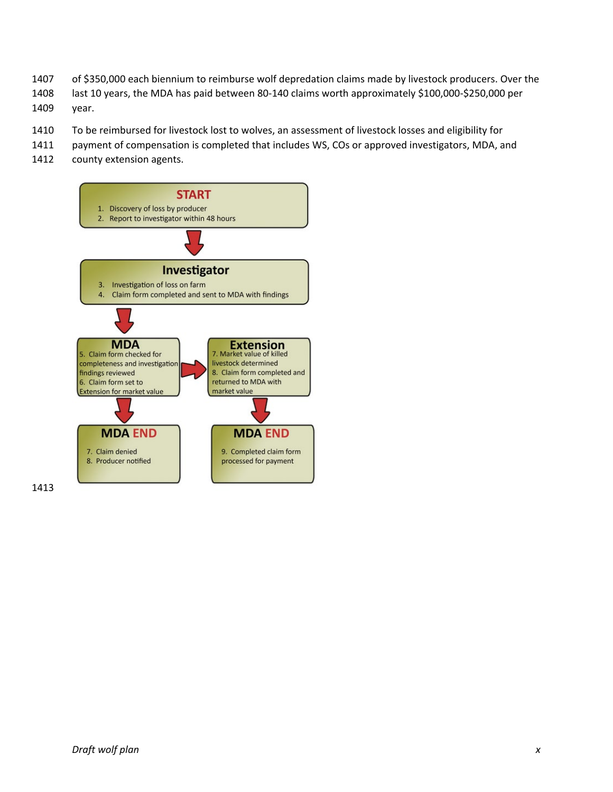- of \$350,000 each biennium to reimburse wolf depredation claims made by livestock producers. Over the
- last 10 years, the MDA has paid between 80-140 claims worth approximately \$100,000-\$250,000 per
- year.
- To be reimbursed for livestock lost to wolves, an assessment of livestock losses and eligibility for
- payment of compensation is completed that includes WS, COs or approved investigators, MDA, and
- 1412 county extension agents.

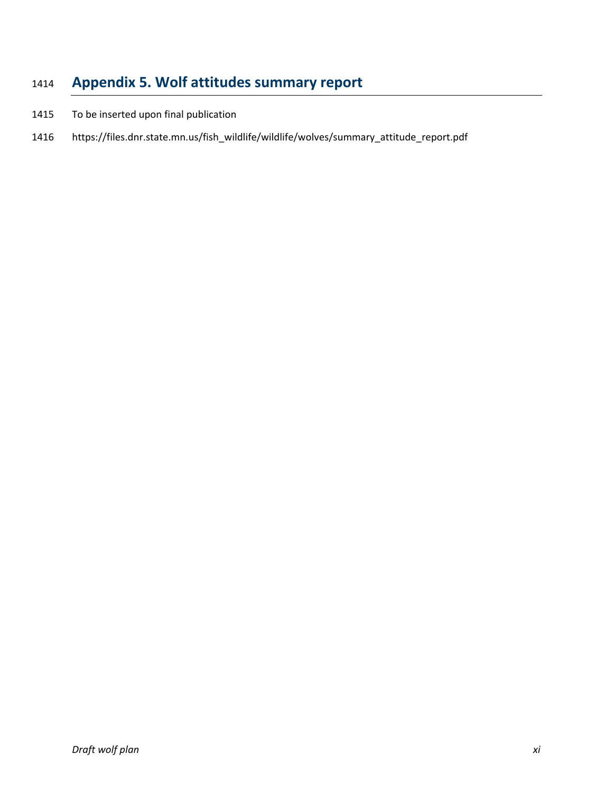# <span id="page-48-0"></span>**Appendix 5. Wolf attitudes summary report**

- To be inserted upon final publication
- https://files.dnr.state.mn.us/fish\_wildlife/wildlife/wolves/summary\_attitude\_report.pdf